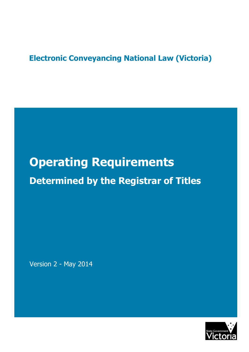# **Electronic Conveyancing National Law (Victoria)**

# **Operating Requirements Determined by the Registrar of Titles**

Version 2 - May 2014

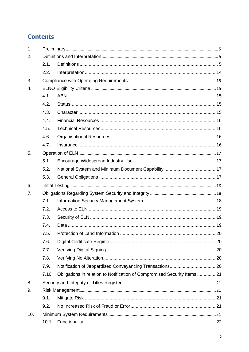# **Contents**

| 1.  |       |                                                                          |  |  |  |  |
|-----|-------|--------------------------------------------------------------------------|--|--|--|--|
| 2.  |       |                                                                          |  |  |  |  |
|     | 2.1.  |                                                                          |  |  |  |  |
|     | 2.2.  |                                                                          |  |  |  |  |
| 3.  |       |                                                                          |  |  |  |  |
| 4.  |       |                                                                          |  |  |  |  |
|     | 4.1.  |                                                                          |  |  |  |  |
|     | 4.2.  |                                                                          |  |  |  |  |
|     | 4.3.  |                                                                          |  |  |  |  |
|     | 4.4.  |                                                                          |  |  |  |  |
|     | 4.5.  |                                                                          |  |  |  |  |
|     | 4.6.  |                                                                          |  |  |  |  |
|     | 4.7.  |                                                                          |  |  |  |  |
| 5.  |       |                                                                          |  |  |  |  |
|     | 5.1.  |                                                                          |  |  |  |  |
|     | 5.2.  |                                                                          |  |  |  |  |
|     | 5.3.  |                                                                          |  |  |  |  |
| 6.  |       |                                                                          |  |  |  |  |
| 7.  |       |                                                                          |  |  |  |  |
|     | 7.1.  |                                                                          |  |  |  |  |
|     | 7.2.  |                                                                          |  |  |  |  |
|     | 7.3.  |                                                                          |  |  |  |  |
|     | 7.4.  |                                                                          |  |  |  |  |
|     | 7.5.  |                                                                          |  |  |  |  |
|     | 7.6.  |                                                                          |  |  |  |  |
|     | 7.7.  |                                                                          |  |  |  |  |
|     | 7.8.  |                                                                          |  |  |  |  |
|     | 7.9.  |                                                                          |  |  |  |  |
|     | 7.10. | Obligations in relation to Notification of Compromised Security Items 21 |  |  |  |  |
| 8.  |       |                                                                          |  |  |  |  |
| 9.  |       |                                                                          |  |  |  |  |
|     | 9.1.  |                                                                          |  |  |  |  |
|     | 9.2.  |                                                                          |  |  |  |  |
| 10. |       |                                                                          |  |  |  |  |
|     | 10.1. |                                                                          |  |  |  |  |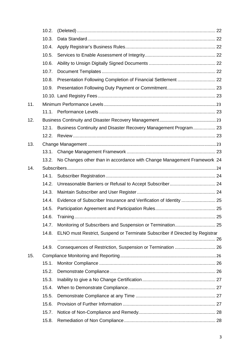| 10.3.<br>10.4.<br>10.5.<br>10.6.<br>10.7.<br>10.8.<br>10.9.<br>11.<br>12.<br>Business Continuity and Disaster Recovery Management Program 23<br>12.1.<br>12.2.<br>13.<br>13.1.<br>No Changes other than in accordance with Change Management Framework 24<br>13.2.<br>14.<br>14.1.<br>14.2.<br>14.3.<br>14.4.<br>14.5.<br>14.6.<br>14.7.<br>ELNO must Restrict, Suspend or Terminate Subscriber if Directed by Registrar<br>14.8.<br>14.9.<br>15.<br>15.1.<br>15.2.<br>15.3. |  |
|------------------------------------------------------------------------------------------------------------------------------------------------------------------------------------------------------------------------------------------------------------------------------------------------------------------------------------------------------------------------------------------------------------------------------------------------------------------------------|--|
|                                                                                                                                                                                                                                                                                                                                                                                                                                                                              |  |
|                                                                                                                                                                                                                                                                                                                                                                                                                                                                              |  |
|                                                                                                                                                                                                                                                                                                                                                                                                                                                                              |  |
|                                                                                                                                                                                                                                                                                                                                                                                                                                                                              |  |
|                                                                                                                                                                                                                                                                                                                                                                                                                                                                              |  |
|                                                                                                                                                                                                                                                                                                                                                                                                                                                                              |  |
|                                                                                                                                                                                                                                                                                                                                                                                                                                                                              |  |
|                                                                                                                                                                                                                                                                                                                                                                                                                                                                              |  |
|                                                                                                                                                                                                                                                                                                                                                                                                                                                                              |  |
|                                                                                                                                                                                                                                                                                                                                                                                                                                                                              |  |
|                                                                                                                                                                                                                                                                                                                                                                                                                                                                              |  |
|                                                                                                                                                                                                                                                                                                                                                                                                                                                                              |  |
|                                                                                                                                                                                                                                                                                                                                                                                                                                                                              |  |
|                                                                                                                                                                                                                                                                                                                                                                                                                                                                              |  |
|                                                                                                                                                                                                                                                                                                                                                                                                                                                                              |  |
|                                                                                                                                                                                                                                                                                                                                                                                                                                                                              |  |
|                                                                                                                                                                                                                                                                                                                                                                                                                                                                              |  |
|                                                                                                                                                                                                                                                                                                                                                                                                                                                                              |  |
|                                                                                                                                                                                                                                                                                                                                                                                                                                                                              |  |
|                                                                                                                                                                                                                                                                                                                                                                                                                                                                              |  |
|                                                                                                                                                                                                                                                                                                                                                                                                                                                                              |  |
|                                                                                                                                                                                                                                                                                                                                                                                                                                                                              |  |
|                                                                                                                                                                                                                                                                                                                                                                                                                                                                              |  |
|                                                                                                                                                                                                                                                                                                                                                                                                                                                                              |  |
|                                                                                                                                                                                                                                                                                                                                                                                                                                                                              |  |
|                                                                                                                                                                                                                                                                                                                                                                                                                                                                              |  |
|                                                                                                                                                                                                                                                                                                                                                                                                                                                                              |  |
|                                                                                                                                                                                                                                                                                                                                                                                                                                                                              |  |
|                                                                                                                                                                                                                                                                                                                                                                                                                                                                              |  |
|                                                                                                                                                                                                                                                                                                                                                                                                                                                                              |  |
| 15.4.                                                                                                                                                                                                                                                                                                                                                                                                                                                                        |  |
| 15.5.                                                                                                                                                                                                                                                                                                                                                                                                                                                                        |  |
| 15.6.                                                                                                                                                                                                                                                                                                                                                                                                                                                                        |  |
| 15.7.                                                                                                                                                                                                                                                                                                                                                                                                                                                                        |  |
| 15.8.                                                                                                                                                                                                                                                                                                                                                                                                                                                                        |  |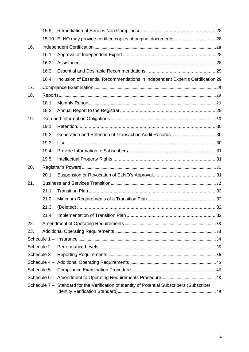|     | 15.9. |                                                                                             |  |
|-----|-------|---------------------------------------------------------------------------------------------|--|
|     |       | 15.10. ELNO may provide certified copies of original documents 28                           |  |
| 16. |       |                                                                                             |  |
|     | 16.1. |                                                                                             |  |
|     | 16.2. |                                                                                             |  |
|     | 16.3. |                                                                                             |  |
|     | 16.4. | Inclusion of Essential Recommendations in Independent Expert's Certification 29             |  |
| 17. |       |                                                                                             |  |
| 18. |       |                                                                                             |  |
|     | 18.1. |                                                                                             |  |
|     | 18.2. |                                                                                             |  |
| 19. |       |                                                                                             |  |
|     | 19.1. |                                                                                             |  |
|     | 19.2. |                                                                                             |  |
|     | 19.3. |                                                                                             |  |
|     | 19.4. |                                                                                             |  |
|     | 19.5. |                                                                                             |  |
| 20. |       |                                                                                             |  |
|     |       |                                                                                             |  |
| 21. |       |                                                                                             |  |
|     | 21.1. |                                                                                             |  |
|     | 21.2. |                                                                                             |  |
|     | 21.3. |                                                                                             |  |
|     |       |                                                                                             |  |
| 22. |       |                                                                                             |  |
| 23. |       |                                                                                             |  |
|     |       |                                                                                             |  |
|     |       |                                                                                             |  |
|     |       |                                                                                             |  |
|     |       |                                                                                             |  |
|     |       |                                                                                             |  |
|     |       |                                                                                             |  |
|     |       | Schedule 7 - Standard for the Verification of Identity of Potential Subscribers (Subscriber |  |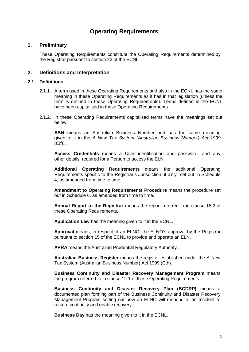# **Operating Requirements**

# **1. Preliminary**

These Operating Requirements constitute the Operating Requirements determined by the Registrar pursuant to section 22 of the ECNL.

# **2. Definitions and Interpretation**

## **2.1. Definitions**

- 2.1.1. A term used in these Operating Requirements and also in the ECNL has the same meaning in these Operating Requirements as it has in that legislation (unless the term is defined in these Operating Requirements). Terms defined in the ECNL have been capitalised in these Operating Requirements.
- 2.1.2. In these Operating Requirements capitalised terms have the meanings set out below:

**ABN** means an Australian Business Number and has the same meaning given to it in the A New Tax System (Australian Business Number) Act 1999  $(Cth)$ .

**Access Credentials** means a User identification and password, and any other details, required for a Person to access the ELN.

**Additional Operating Requirements** means the additional Operating Requirements specific to the Registrar's Jurisdiction, if a n y, set out in Schedule 4, as amended from time to time.

**Amendment to Operating Requirements Procedure** means the procedure set out in Schedule 6, as amended from time to time.

**Annual Report to the Registrar** means the report referred to in clause 18.2 of these Operating Requirements.

**Application Law** has the meaning given to it in the ECNL.

**Approval** means, in respect of an ELNO, the ELNO's approval by the Registrar pursuant to section 15 of the ECNL to provide and operate an ELN.

**APRA** means the Australian Prudential Regulatory Authority.

**Australian Business Register** means the register established under the A New Tax System (Australian Business Number) Act 1999 (Cth).

**Business Continuity and Disaster Recovery Management Program** means the program referred to in clause 12.1 of these Operating Requirements.

**Business Continuity and Disaster Recovery Plan (BCDRP)** means a documented plan forming part of the Business Continuity and Disaster Recovery Management Program setting out how an ELNO will respond to an Incident to restore continuity and enable recovery.

**Business Day** has the meaning given to it in the ECNL.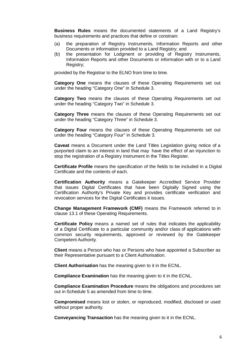**Business Rules** means the documented statements of a Land Registry's business requirements and practices that define or constrain:

- (a) the preparation of Registry Instruments, Information Reports and other Documents or information provided to a Land Registry; and
- (b) the presentation for Lodgment or providing of Registry Instruments, Information Reports and other Documents or information with or to a Land Registry;

provided by the Registrar to the ELNO from time to time.

**Category One** means the clauses of these Operating Requirements set out under the heading "Category One" in Schedule 3.

**Category Two** means the clauses of these Operating Requirements set out under the heading "Category Two" in Schedule 3.

**Category Three** means the clauses of these Operating Requirements set out under the heading "Category Three" in Schedule 3.

**Category Four** means the clauses of these Operating Requirements set out under the heading "Category Four" in Schedule 3.

**Caveat** means a Document under the Land Titles Legislation giving notice of a purported claim to an interest in land that may have the effect of an injunction to stop the registration of a Registry Instrument in the Titles Register.

**Certificate Profile** means the specification of the fields to be included in a Digital Certificate and the contents of each.

**Certification Authority** means a Gatekeeper Accredited Service Provider that issues Digital Certificates that have been Digitally Signed using the Certification Authority's Private Key and provides certificate verification and revocation services for the Digital Certificates it issues.

**Change Management Framework (CMF)** means the Framework referred to in clause 13.1 of these Operating Requirements.

**Certificate Policy** means a named set of rules that indicates the applicability of a Digital Certificate to a particular community and/or class of applications with common security requirements, approved or reviewed by the Gatekeeper Competent Authority.

**Client** means a Person who has or Persons who have appointed a Subscriber as their Representative pursuant to a Client Authorisation.

**Client Authorisation** has the meaning given to it in the ECNL.

**Compliance Examination** has the meaning given to it in the ECNL.

**Compliance Examination Procedure** means the obligations and procedures set out in Schedule 5 as amended from time to time.

**Compromised** means lost or stolen, or reproduced, modified, disclosed or used without proper authority.

**Conveyancing Transaction** has the meaning given to it in the ECNL.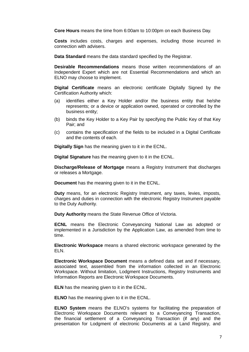**Core Hours** means the time from 6:00am to 10:00pm on each Business Day.

**Costs** includes costs, charges and expenses, including those incurred in connection with advisers.

**Data Standard** means the data standard specified by the Registrar.

**Desirable Recommendations** means those written recommendations of an Independent Expert which are not Essential Recommendations and which an ELNO may choose to implement.

**Digital Certificate** means an electronic certificate Digitally Signed by the Certification Authority which:

- (a) identifies either a Key Holder and/or the business entity that he/she represents; or a device or application owned, operated or controlled by the business entity;
- (b) binds the Key Holder to a Key Pair by specifying the Public Key of that Key Pair; and
- (c) contains the specification of the fields to be included in a Digital Certificate and the contents of each.

**Digitally Sign** has the meaning given to it in the ECNL.

**Digital Signature** has the meaning given to it in the ECNL.

**Discharge/Release of Mortgage** means a Registry Instrument that discharges or releases a Mortgage.

**Document** has the meaning given to it in the ECNL.

**Duty** means, for an electronic Registry Instrument, any taxes, levies, imposts, charges and duties in connection with the electronic Registry Instrument payable to the Duty Authority.

**Duty Authority** means the State Revenue Office of Victoria.

**ECNL** means the Electronic Conveyancing National Law as adopted or implemented in a Jurisdiction by the Application Law, as amended from time to time.

**Electronic Workspace** means a shared electronic workspace generated by the ELN.

**Electronic Workspace Document** means a defined data set and if necessary, associated text, assembled from the information collected in an Electronic Workspace. Without limitation, Lodgment Instructions, Registry Instruments and Information Reports are Electronic Workspace Documents.

**ELN** has the meaning given to it in the ECNL.

**ELNO** has the meaning given to it in the ECNL.

**ELNO System** means the ELNO's systems for facilitating the preparation of Electronic Workspace Documents relevant to a Conveyancing Transaction, the financial settlement of a Conveyancing Transaction (if any) and the presentation for Lodgment of electronic Documents at a Land Registry, and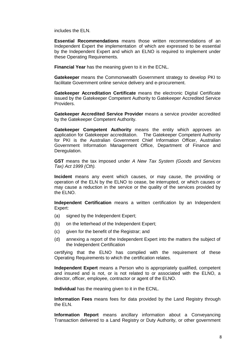includes the ELN.

**Essential Recommendations** means those written recommendations of an Independent Expert the implementation of which are expressed to be essential by the Independent Expert and which an ELNO is required to implement under these Operating Requirements.

**Financial Year** has the meaning given to it in the ECNL.

**Gatekeeper** means the Commonwealth Government strategy to develop PKI to facilitate Government online service delivery and e-procurement.

**Gatekeeper Accreditation Certificate** means the electronic Digital Certificate issued by the Gatekeeper Competent Authority to Gatekeeper Accredited Service Providers.

**Gatekeeper Accredited Service Provider** means a service provider accredited by the Gatekeeper Competent Authority.

**Gatekeeper Competent Authority** means the entity which approves an application for Gatekeeper accreditation. The Gatekeeper Competent Authority for PKI is the Australian Government Chief Information Officer, Australian Government Information Management Office, Department of Finance and Deregulation.

**GST** means the tax imposed under A New Tax System (Goods and Services Tax) Act 1999 (Cth).

**Incident** means any event which causes, or may cause, the providing or operation of the ELN by the ELNO to cease, be interrupted, or which causes or may cause a reduction in the service or the quality of the services provided by the ELNO.

**Independent Certification** means a written certification by an Independent Expert:

- (a) signed by the Independent Expert;
- (b) on the letterhead of the Independent Expert;
- (c) given for the benefit of the Registrar; and
- (d) annexing a report of the Independent Expert into the matters the subject of the Independent Certification

certifying that the ELNO has complied with the requirement of these Operating Requirements to which the certification relates.

**Independent Expert** means a Person who is appropriately qualified, competent and insured and is not, or is not related to or associated with the ELNO, a director, officer, employee, contractor or agent of the ELNO.

**Individual** has the meaning given to it in the ECNL.

**Information Fees** means fees for data provided by the Land Registry through the ELN.

**Information Report** means ancillary information about a Conveyancing Transaction delivered to a Land Registry or Duty Authority, or other government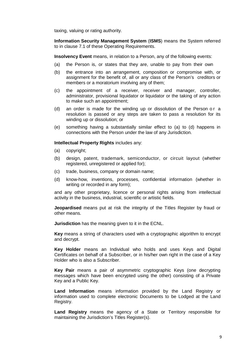taxing, valuing or rating authority.

**Information Security Management System** (**ISMS**) means the System referred to in clause 7.1 of these Operating Requirements.

**Insolvency Event** means, in relation to a Person, any of the following events:

- (a) the Person is, or states that they are, unable to pay from their own
- (b) the entrance into an arrangement, composition or compromise with, or assignment for the benefit of, all or any class of the Person's creditors or members or a moratorium involving any of them;
- (c) the appointment of a receiver, receiver and manager, controller, administrator, provisional liquidator or liquidator or the taking of any action to make such an appointment;
- (d) an order is made for the winding up or dissolution of the Person or a resolution is passed or any steps are taken to pass a resolution for its winding up or dissolution; or
- (e) something having a substantially similar effect to (a) to (d) happens in connections with the Person under the law of any Jurisdiction.

**Intellectual Property Rights** includes any:

- (a) copyright;
- (b) design, patent, trademark, semiconductor, or circuit layout (whether registered, unregistered or applied for);
- (c) trade, business, company or domain name;
- (d) know-how, inventions, processes, confidential information (whether in writing or recorded in any form);

and any other proprietary, licence or personal rights arising from intellectual activity in the business, industrial, scientific or artistic fields.

**Jeopardised** means put at risk the integrity of the Titles Register by fraud or other means.

**Jurisdiction** has the meaning given to it in the ECNL.

**Key** means a string of characters used with a cryptographic algorithm to encrypt and decrypt.

**Key Holder** means an Individual who holds and uses Keys and Digital Certificates on behalf of a Subscriber, or in his/her own right in the case of a Key Holder who is also a Subscriber.

**Key Pair** means a pair of asymmetric cryptographic Keys (one decrypting messages which have been encrypted using the other) consisting of a Private Key and a Public Key.

**Land Information** means information provided by the Land Registry or information used to complete electronic Documents to be Lodged at the Land Registry.

**Land Registry** means the agency of a State or Territory responsible for maintaining the Jurisdiction's Titles Register(s).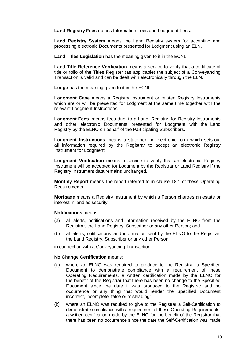**Land Registry Fees** means Information Fees and Lodgment Fees.

**Land Registry System** means the Land Registry system for accepting and processing electronic Documents presented for Lodgment using an ELN.

**Land Titles Legislation** has the meaning given to it in the ECNL.

**Land Title Reference Verification** means a service to verify that a certificate of title or folio of the Titles Register (as applicable) the subject of a Conveyancing Transaction is valid and can be dealt with electronically through the ELN.

**Lodge** has the meaning given to it in the ECNL.

**Lodgment Case** means a Registry Instrument or related Registry Instruments which are or will be presented for Lodgment at the same time together with the relevant Lodgment Instructions.

**Lodgment Fees** means fees due to a Land Registry for Registry Instruments and other electronic Documents presented for Lodgment with the Land Registry by the ELNO on behalf of the Participating Subscribers.

**Lodgment Instructions** means a statement in electronic form which sets out all information required by the Registrar to accept an electronic Registry Instrument for Lodgment.

**Lodgment Verification** means a service to verify that an electronic Registry Instrument will be accepted for Lodgment by the Registrar or Land Registry if the Registry Instrument data remains unchanged.

**Monthly Report** means the report referred to in clause 18.1 of these Operating Requirements.

**Mortgage** means a Registry Instrument by which a Person charges an estate or interest in land as security.

## **Notifications** means:

- (a) all alerts, notifications and information received by the ELNO from the Registrar, the Land Registry, Subscriber or any other Person; and
- (b) all alerts, notifications and information sent by the ELNO to the Registrar, the Land Registry, Subscriber or any other Person,

in connection with a Conveyancing Transaction.

#### **No Change Certification** means:

- (a) where an ELNO was required to produce to the Registrar a Specified Document to demonstrate compliance with a requirement of these Operating Requirements, a written certification made by the ELNO for the benefit of the Registrar that there has been no change to the Specified Document since the date it was produced to the Registrar and no occurrence or any thing that would render the Specified Document incorrect, incomplete, false or misleading;
- (b) where an ELNO was required to give to the Registrar a Self-Certification to demonstrate compliance with a requirement of these Operating Requirements, a written certification made by the ELNO for the benefit of the Registrar that there has been no occurrence since the date the Self-Certification was made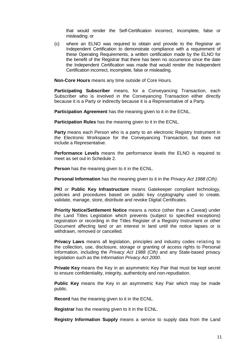that would render the Self-Certification incorrect, incomplete, false or misleading; or

(c) where an ELNO was required to obtain and provide to the Registrar an Independent Certification to demonstrate compliance with a requirement of these Operating Requirements, a written certification made by the ELNO for the benefit of the Registrar that there has been no occurrence since the date the Independent Certification was made that would render the Independent Certification incorrect, incomplete, false or misleading.

**Non-Core Hours** means any time outside of Core Hours.

**Participating Subscriber** means, for a Conveyancing Transaction, each Subscriber who is involved in the Conveyancing Transaction either directly because it is a Party or indirectly because it is a Representative of a Party.

**Participation Agreement** has the meaning given to it in the ECNL.

**Participation Rules** has the meaning given to it in the ECNL.

**Party** means each Person who is a party to an electronic Registry Instrument in the Electronic Workspace for the Conveyancing Transaction, but does not include a Representative.

**Performance Levels** means the performance levels the ELNO is required to meet as set out in Schedule 2.

**Person** has the meaning given to it in the ECNL.

**Personal Information** has the meaning given to it in the *Privacy Act 1988 (Cth)*.

**PKI** or **Public Key Infrastructure** means Gatekeeper compliant technology, policies and procedures based on public key cryptography used to create, validate, manage, store, distribute and revoke Digital Certificates.

**Priority Notice/Settlement Notice** means a notice (other than a Caveat) under the Land Titles Legislation which prevents (subject to specified exceptions) registration or recording in the Titles Register of a Registry Instrument or other Document affecting land or an interest in land until the notice lapses or is withdrawn, removed or cancelled.

**Privacy Laws** means all legislation, principles and industry codes relating to the collection, use, disclosure, storage or granting of access rights to Personal Information, including the Privacy Act 1988 (Cth) and any State-based privacy legislation such as the Information Privacy Act 2000.

**Private Key** means the Key in an asymmetric Key Pair that must be kept secret to ensure confidentiality, integrity, authenticity and non-repudiation.

**Public Key** means the Key in an asymmetric Key Pair which may be made public.

**Record** has the meaning given to it in the ECNL.

**Registrar** has the meaning given to it in the ECNL.

**Registry Information Supply** means a service to supply data from the Land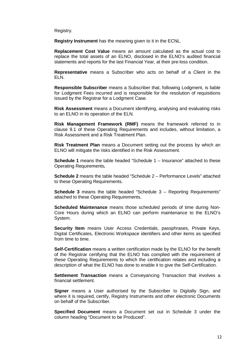Registry.

**Registry Instrument** has the meaning given to it in the ECNL.

**Replacement Cost Value** means an amount calculated as the actual cost to replace the total assets of an ELNO, disclosed in the ELNO's audited financial statements and reports for the last Financial Year, at their pre-loss condition.

**Representative** means a Subscriber who acts on behalf of a Client in the ELN.

**Responsible Subscriber** means a Subscriber that, following Lodgment, is liable for Lodgment Fees incurred and is responsible for the resolution of requisitions issued by the Registrar for a Lodgment Case.

**Risk Assessment** means a Document identifying, analysing and evaluating risks to an ELNO in its operation of the ELN.

**Risk Management Framework (RMF)** means the framework referred to in clause 9.1 of these Operating Requirements and includes, without limitation, a Risk Assessment and a Risk Treatment Plan.

**Risk Treatment Plan** means a Document setting out the process by which an ELNO will mitigate the risks identified in the Risk Assessment.

**Schedule 1** means the table headed "Schedule 1 – Insurance" attached to these Operating Requirements**.** 

**Schedule 2** means the table headed "Schedule 2 – Performance Levels" attached to these Operating Requirements.

**Schedule 3** means the table headed "Schedule 3 – Reporting Requirements" attached to these Operating Requirements.

**Scheduled Maintenance** means those scheduled periods of time during Non-Core Hours during which an ELNO can perform maintenance to the ELNO's System.

**Security Item** means User Access Credentials, passphrases, Private Keys, Digital Certificates, Electronic Workspace identifiers and other items as specified from time to time.

**Self-Certification** means a written certification made by the ELNO for the benefit of the Registrar certifying that the ELNO has complied with the requirement of these Operating Requirements to which the certification relates and including a description of what the ELNO has done to enable it to give the Self-Certification.

**Settlement Transaction** means a Conveyancing Transaction that involves a financial settlement.

**Signer** means a User authorised by the Subscriber to Digitally Sign, and where it is required, certify, Registry Instruments and other electronic Documents on behalf of the Subscriber.

**Specified Document** means a Document set out in Schedule 3 under the column heading "Document to be Produced".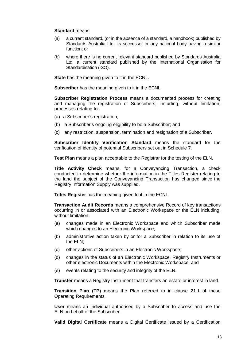#### **Standard** means:

- (a) a current standard, (or in the absence of a standard, a handbook) published by Standards Australia Ltd, its successor or any national body having a similar function; or
- (b) where there is no current relevant standard published by Standards Australia Ltd, a current standard published by the International Organisation for Standardisation (ISO).

**State** has the meaning given to it in the ECNL.

**Subscriber** has the meaning given to it in the ECNL.

**Subscriber Registration Process** means a documented process for creating and managing the registration of Subscribers, including, without limitation, processes relating to:

- (a) a Subscriber's registration;
- (b) a Subscriber's ongoing eligibility to be a Subscriber; and
- (c) any restriction, suspension, termination and resignation of a Subscriber.

**Subscriber Identity Verification Standard** means the standard for the verification of identity of potential Subscribers set out in Schedule 7.

**Test Plan** means a plan acceptable to the Registrar for the testing of the ELN.

**Title Activity Check** means, for a Conveyancing Transaction, a check conducted to determine whether the information in the Titles Register relating to the land the subject of the Conveyancing Transaction has changed since the Registry Information Supply was supplied.

**Titles Register** has the meaning given to it in the ECNL.

**Transaction Audit Records** means a comprehensive Record of key transactions occurring in or associated with an Electronic Workspace or the ELN including, without limitation:

- (a) changes made in an Electronic Workspace and which Subscriber made which changes to an Electronic Workspace;
- (b) administrative action taken by or for a Subscriber in relation to its use of the ELN;
- (c) other actions of Subscribers in an Electronic Workspace;
- (d) changes in the status of an Electronic Workspace, Registry Instruments or other electronic Documents within the Electronic Workspace; and
- (e) events relating to the security and integrity of the ELN.

**Transfer** means a Registry Instrument that transfers an estate or interest in land.

**Transition Plan (TP)** means the Plan referred to in clause 21.1 of these Operating Requirements.

**User** means an Individual authorised by a Subscriber to access and use the ELN on behalf of the Subscriber.

**Valid Digital Certificate** means a Digital Certificate issued by a Certification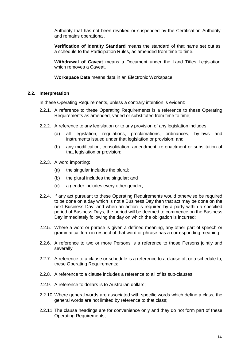Authority that has not been revoked or suspended by the Certification Authority and remains operational.

**Verification of Identity Standard** means the standard of that name set out as a schedule to the Participation Rules, as amended from time to time.

**Withdrawal of Caveat** means a Document under the Land Titles Legislation which removes a Caveat.

**Workspace Data** means data in an Electronic Workspace.

#### **2.2. Interpretation**

In these Operating Requirements, unless a contrary intention is evident:

- 2.2.1. A reference to these Operating Requirements is a reference to these Operating Requirements as amended, varied or substituted from time to time;
- 2.2.2. A reference to any legislation or to any provision of any legislation includes:
	- (a) all legislation, regulations, proclamations, ordinances, by-laws and instruments issued under that legislation or provision; and
	- (b) any modification, consolidation, amendment, re-enactment or substitution of that legislation or provision;
- 2.2.3. A word importing:
	- (a) the singular includes the plural;
	- (b) the plural includes the singular; and
	- (c) a gender includes every other gender;
- 2.2.4. If any act pursuant to these Operating Requirements would otherwise be required to be done on a day which is not a Business Day then that act may be done on the next Business Day, and when an action is required by a party within a specified period of Business Days, the period will be deemed to commence on the Business Day immediately following the day on which the obligation is incurred;
- 2.2.5. Where a word or phrase is given a defined meaning, any other part of speech or grammatical form in respect of that word or phrase has a corresponding meaning;
- 2.2.6. A reference to two or more Persons is a reference to those Persons jointly and severally;
- 2.2.7. A reference to a clause or schedule is a reference to a clause of, or a schedule to, these Operating Requirements:
- 2.2.8. A reference to a clause includes a reference to all of its sub-clauses;
- 2.2.9. A reference to dollars is to Australian dollars;
- 2.2.10. Where general words are associated with specific words which define a class, the general words are not limited by reference to that class;
- 2.2.11. The clause headings are for convenience only and they do not form part of these Operating Requirements;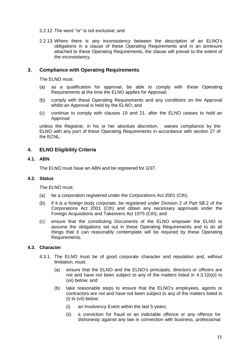- 2.2.12. The word "or" is not exclusive; and
- 2.2.13. Where there is any inconsistency between the description of an ELNO's obligations in a clause of these Operating Requirements and in an annexure attached to these Operating Requirements, the clause will prevail to the extent of the inconsistency.

# **3. Compliance with Operating Requirements**

The ELNO must:

- (a) as a qualification for approval, be able to comply with these Operating Requirements at the time the ELNO applies for Approval;
- (b) comply with these Operating Requirements and any conditions on the Approval whilst an Approval is held by the ELNO; and
- (c) continue to comply with clauses 19 and 21. after the ELNO ceases to hold an Approval

unless the Registrar, in his or her absolute discretion, waives compliance by the ELNO with any part of these Operating Requirements in accordance with section 27 of the ECNL.

# **4. ELNO Eligibility Criteria**

#### **4.1. ABN**

The ELNO must have an ABN and be registered for GST.

#### **4.2. Status**

The ELNO must:

- (a) be a corporation registered under the Corporations Act 2001 (Cth);
- (b) if it is a foreign body corporate, be registered under Division 2 of Part 5B.2 of the Corporations Act 2001 (Cth) and obtain any necessary approvals under the Foreign Acquisitions and Takeovers Act 1975 (Cth); and
- (c) ensure that the constituting Documents of the ELNO empower the ELNO to assume the obligations set out in these Operating Requirements and to do all things that it can reasonably contemplate will be required by these Operating Requirements.

## **4.3. Character**

- 4.3.1. The ELNO must be of good corporate character and reputation and, without limitation, must:
	- (a) ensure that the ELNO and the ELNO's principals, directors or officers are not and have not been subject to any of the matters listed in 4.3.1(b)(i) to (vii) below; and
	- (b) take reasonable steps to ensure that the ELNO's employees, agents or contractors are not and have not been subject to any of the matters listed in (i) to (vii) below:
		- (i) an Insolvency Event within the last 5 years;
		- (ii) a conviction for fraud or an indictable offence or any offence for dishonesty against any law in connection with business, professional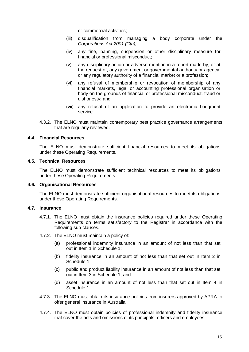or commercial activities;

- (iii) disqualification from managing a body corporate under the Corporations Act 2001 (Cth);
- (iv) any fine, banning, suspension or other disciplinary measure for financial or professional misconduct;
- (v) any disciplinary action or adverse mention in a report made by, or at the request of, any government or governmental authority or agency, or any regulatory authority of a financial market or a profession;
- (vi) any refusal of membership or revocation of membership of any financial markets, legal or accounting professional organisation or body on the grounds of financial or professional misconduct, fraud or dishonesty; and
- (vii) any refusal of an application to provide an electronic Lodgment service.
- 4.3.2. The ELNO must maintain contemporary best practice governance arrangements that are regularly reviewed.

#### **4.4. Financial Resources**

The ELNO must demonstrate sufficient financial resources to meet its obligations under these Operating Requirements.

#### **4.5. Technical Resources**

The ELNO must demonstrate sufficient technical resources to meet its obligations under these Operating Requirements.

#### **4.6. Organisational Resources**

The ELNO must demonstrate sufficient organisational resources to meet its obligations under these Operating Requirements.

# **4.7. Insurance**

- 4.7.1. The ELNO must obtain the insurance policies required under these Operating Requirements on terms satisfactory to the Registrar in accordance with the following sub-clauses.
- 4.7.2. The ELNO must maintain a policy of:
	- (a) professional indemnity insurance in an amount of not less than that set out in Item 1 in Schedule 1;
	- (b) fidelity insurance in an amount of not less than that set out in Item 2 in Schedule 1;
	- (c) public and product liability insurance in an amount of not less than that set out in Item 3 in Schedule 1; and
	- (d) asset insurance in an amount of not less than that set out in Item 4 in Schedule 1.
- 4.7.3. The ELNO must obtain its insurance policies from insurers approved by APRA to offer general insurance in Australia.
- 4.7.4. The ELNO must obtain policies of professional indemnity and fidelity insurance that cover the acts and omissions of its principals, officers and employees.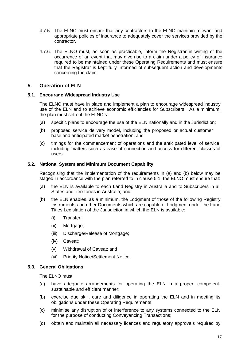- 4.7.5 The ELNO must ensure that any contractors to the ELNO maintain relevant and appropriate policies of insurance to adequately cover the services provided by the contractor.
- 4.7.6. The ELNO must, as soon as practicable, inform the Registrar in writing of the occurrence of an event that may give rise to a claim under a policy of insurance required to be maintained under these Operating Requirements and must ensure that the Registrar is kept fully informed of subsequent action and developments concerning the claim.

# **5. Operation of ELN**

#### **5.1. Encourage Widespread Industry Use**

The ELNO must have in place and implement a plan to encourage widespread industry use of the ELN and to achieve economic efficiencies for Subscribers. As a minimum, the plan must set out the ELNO's:

- (a) specific plans to encourage the use of the ELN nationally and in the Jurisdiction;
- (b) proposed service delivery model, including the proposed or actual customer base and anticipated market penetration; and
- (c) timings for the commencement of operations and the anticipated level of service, including matters such as ease of connection and access for different classes of users.

#### **5.2. National System and Minimum Document Capability**

Recognising that the implementation of the requirements in (a) and (b) below may be staged in accordance with the plan referred to in clause 5.1, the ELNO must ensure that:

- (a) the ELN is available to each Land Registry in Australia and to Subscribers in all States and Territories in Australia; and
- (b) the ELN enables, as a minimum, the Lodgment of those of the following Registry Instruments and other Documents which are capable of Lodgment under the Land Titles Legislation of the Jurisdiction in which the ELN is available:
	- (i) Transfer;
	- (ii) Mortgage;
	- (iii) Discharge/Release of Mortgage;
	- (iv) Caveat;
	- (v) Withdrawal of Caveat; and
	- (vi) Priority Notice/Settlement Notice.

# **5.3. General Obligations**

The ELNO must:

- (a) have adequate arrangements for operating the ELN in a proper, competent, sustainable and efficient manner;
- (b) exercise due skill, care and diligence in operating the ELN and in meeting its obligations under these Operating Requirements;
- (c) minimise any disruption of or interference to any systems connected to the ELN for the purpose of conducting Conveyancing Transactions;
- (d) obtain and maintain all necessary licences and regulatory approvals required by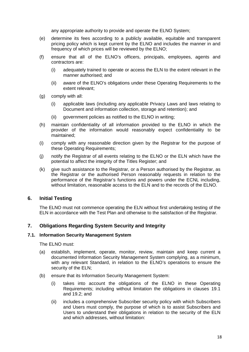any appropriate authority to provide and operate the ELNO System;

- (e) determine its fees according to a publicly available, equitable and transparent pricing policy which is kept current by the ELNO and includes the manner in and frequency of which prices will be reviewed by the ELNO;
- (f) ensure that all of the ELNO's officers, principals, employees, agents and contractors are:
	- (i) adequately trained to operate or access the ELN to the extent relevant in the manner authorised; and
	- (ii) aware of the ELNO's obligations under these Operating Requirements to the extent relevant;
- (g) comply with all:
	- (i) applicable laws (including any applicable Privacy Laws and laws relating to Document and information collection, storage and retention); and
	- (ii) government policies as notified to the ELNO in writing;
- (h) maintain confidentiality of all information provided to the ELNO in which the provider of the information would reasonably expect confidentiality to be maintained;
- (i) comply with any reasonable direction given by the Registrar for the purpose of these Operating Requirements;
- (j) notify the Registrar of all events relating to the ELNO or the ELN which have the potential to affect the integrity of the Titles Register; and
- (k) give such assistance to the Registrar, or a Person authorised by the Registrar, as the Registrar or the authorised Person reasonably requests in relation to the performance of the Registrar's functions and powers under the ECNL including, without limitation, reasonable access to the ELN and to the records of the ELNO.

# **6. Initial Testing**

The ELNO must not commence operating the ELN without first undertaking testing of the ELN in accordance with the Test Plan and otherwise to the satisfaction of the Registrar.

# **7. Obligations Regarding System Security and Integrity**

#### **7.1. Information Security Management System**

The ELNO must:

- (a) establish, implement, operate, monitor, review, maintain and keep current a documented Information Security Management System complying, as a minimum, with any relevant Standard, in relation to the ELNO's operations to ensure the security of the ELN;
- (b) ensure that its Information Security Management System:
	- (i) takes into account the obligations of the ELNO in these Operating Requirements; including without limitation the obligations in clauses 19.1 and 19.2; and
	- (ii) includes a comprehensive Subscriber security policy with which Subscribers and Users must comply, the purpose of which is to assist Subscribers and Users to understand their obligations in relation to the security of the ELN and which addresses, without limitation: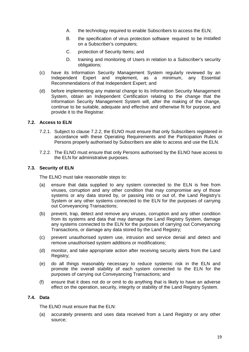- A. the technology required to enable Subscribers to access the ELN;
- B. the specification of virus protection software required to be installed on a Subscriber's computers;
- C. protection of Security Items; and
- D. training and monitoring of Users in relation to a Subscriber's security obligations;
- (c) have its Information Security Management System regularly reviewed by an Independent Expert and implement, as a minimum, any Essential Recommendations of that Independent Expert; and
- (d) before implementing any material change to its Information Security Management System, obtain an Independent Certification relating to the change that the Information Security Management System will, after the making of the change, continue to be suitable, adequate and effective and otherwise fit for purpose, and provide it to the Registrar.

## **7.2. Access to ELN**

- 7.2.1. Subject to clause 7.2.2, the ELNO must ensure that only Subscribers registered in accordance with these Operating Requirements and the Participation Rules or Persons properly authorised by Subscribers are able to access and use the ELN.
- 7.2.2. The ELNO must ensure that only Persons authorised by the ELNO have access to the ELN for administrative purposes.

#### **7.3. Security of ELN**

The ELNO must take reasonable steps to:

- (a) ensure that data supplied to any system connected to the ELN is free from viruses, corruption and any other condition that may compromise any of those systems or any data stored by, or passing into or out of, the Land Registry's System or any other systems connected to the ELN for the purposes of carrying out Conveyancing Transactions;
- (b) prevent, trap, detect and remove any viruses, corruption and any other condition from its systems and data that may damage the Land Registry System, damage any systems connected to the ELN for the purposes of carrying out Conveyancing Transactions, or damage any data stored by the Land Registry;
- (c) prevent unauthorised system use, intrusion and service denial and detect and remove unauthorised system additions or modifications;
- (d) monitor, and take appropriate action after receiving security alerts from the Land Registry;
- (e) do all things reasonably necessary to reduce systemic risk in the ELN and promote the overall stability of each system connected to the ELN for the purposes of carrying out Conveyancing Transactions; and
- (f) ensure that it does not do or omit to do anything that is likely to have an adverse effect on the operation, security, integrity or stability of the Land Registry System.

#### **7.4. Data**

The ELNO must ensure that the ELN:

(a) accurately presents and uses data received from a Land Registry or any other source;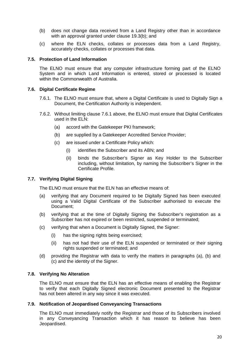- (b) does not change data received from a Land Registry other than in accordance with an approval granted under clause 19.3(b); and
- (c) where the ELN checks, collates or processes data from a Land Registry, accurately checks, collates or processes that data.

#### **7.5. Protection of Land Information**

The ELNO must ensure that any computer infrastructure forming part of the ELNO System and in which Land Information is entered, stored or processed is located within the Commonwealth of Australia.

#### **7.6. Digital Certificate Regime**

- 7.6.1. The ELNO must ensure that, where a Digital Certificate is used to Digitally Sign a Document, the Certification Authority is independent.
- 7.6.2. Without limiting clause 7.6.1 above, the ELNO must ensure that Digital Certificates used in the ELN:
	- (a) accord with the Gatekeeper PKI framework;
	- (b) are supplied by a Gatekeeper Accredited Service Provider;
	- (c) are issued under a Certificate Policy which:
		- (i) identifies the Subscriber and its ABN; and
		- (ii) binds the Subscriber's Signer as Key Holder to the Subscriber including, without limitation, by naming the Subscriber's Signer in the Certificate Profile.

## **7.7. Verifying Digital Signing**

The ELNO must ensure that the ELN has an effective means of:

- (a) verifying that any Document required to be Digitally Signed has been executed using a Valid Digital Certificate of the Subscriber authorised to execute the Document;
- (b) verifying that at the time of Digitally Signing the Subscriber's registration as a Subscriber has not expired or been restricted, suspended or terminated;
- (c) verifying that when a Document is Digitally Signed, the Signer:
	- (i) has the signing rights being exercised;
	- (ii) has not had their use of the ELN suspended or terminated or their signing rights suspended or terminated; and
- (d) providing the Registrar with data to verify the matters in paragraphs (a), (b) and (c) and the identity of the Signer.

## **7.8. Verifying No Alteration**

The ELNO must ensure that the ELN has an effective means of enabling the Registrar to verify that each Digitally Signed electronic Document presented to the Registrar has not been altered in any way since it was executed.

## **7.9. Notification of Jeopardised Conveyancing Transactions**

The ELNO must immediately notify the Registrar and those of its Subscribers involved in any Conveyancing Transaction which it has reason to believe has been Jeopardised.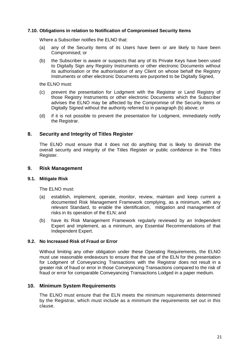## **7.10. Obligations in relation to Notification of Compromised Security Items**

Where a Subscriber notifies the ELNO that:

- (a) any of the Security Items of its Users have been or are likely to have been Compromised; or
- (b) the Subscriber is aware or suspects that any of its Private Keys have been used to Digitally Sign any Registry Instruments or other electronic Documents without its authorisation or the authorisation of any Client on whose behalf the Registry Instruments or other electronic Documents are purported to be Digitally Signed,

the ELNO must:

- (c) prevent the presentation for Lodgment with the Registrar or Land Registry of those Registry Instruments or other electronic Documents which the Subscriber advises the ELNO may be affected by the Compromise of the Security Items or Digitally Signed without the authority referred to in paragraph (b) above; or
- (d) if it is not possible to prevent the presentation for Lodgment, immediately notify the Registrar.

#### **8. Security and Integrity of Titles Register**

The ELNO must ensure that it does not do anything that is likely to diminish the overall security and integrity of the Titles Register or public confidence in the Titles Register.

#### **9. Risk Management**

#### **9.1. Mitigate Risk**

The ELNO must:

- (a) establish, implement, operate, monitor, review, maintain and keep current a documented Risk Management Framework complying, as a minimum, with any relevant Standard, to enable the identification, mitigation and management of risks in its operation of the ELN; and
- (b) have its Risk Management Framework regularly reviewed by an Independent Expert and implement, as a minimum, any Essential Recommendations of that Independent Expert.

# **9.2. No Increased Risk of Fraud or Error**

Without limiting any other obligation under these Operating Requirements, the ELNO must use reasonable endeavours to ensure that the use of the ELN for the presentation for Lodgment of Conveyancing Transactions with the Registrar does not result in a greater risk of fraud or error in those Conveyancing Transactions compared to the risk of fraud or error for comparable Conveyancing Transactions Lodged in a paper medium.

# **10. Minimum System Requirements**

The ELNO must ensure that the ELN meets the minimum requirements determined by the Registrar, which must include as a minimum the requirements set out in this clause.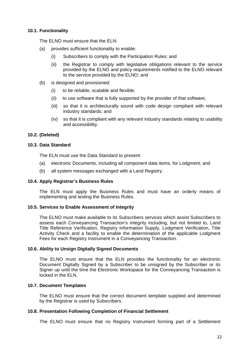# **10.1. Functionality**

The FLNO must ensure that the FLN:

- (a) provides sufficient functionality to enable:
	- (i) Subscribers to comply with the Participation Rules; and
	- (ii) the Registrar to comply with legislative obligations relevant to the service provided by the ELNO and policy requirements notified to the ELNO relevant to the service provided by the ELNO; and
- (b) is designed and provisioned:
	- (i) to be reliable, scalable and flexible;
	- (ii) to use software that is fully supported by the provider of that software;
	- (iii) so that it is architecturally sound with code design compliant with relevant industry standards; and
	- (iv) so that it is compliant with any relevant industry standards relating to usability and accessibility.

## **10.2. (Deleted)**

# **10.3. Data Standard**

The ELN must use the Data Standard to present:

- (a) electronic Documents, including all component data items, for Lodgment; and
- (b) all system messages exchanged with a Land Registry.

## **10.4. Apply Registrar's Business Rules**

The ELN must apply the Business Rules and must have an orderly means of implementing and testing the Business Rules.

#### **10.5. Services to Enable Assessment of Integrity**

The ELNO must make available to its Subscribers services which assist Subscribers to assess each Conveyancing Transaction's integrity including, but not limited to, Land Title Reference Verification, Registry Information Supply, Lodgment Verification, Title Activity Check and a facility to enable the determination of the applicable Lodgment Fees for each Registry Instrument in a Conveyancing Transaction.

#### **10.6. Ability to Unsign Digitally Signed Documents**

The ELNO must ensure that the ELN provides the functionality for an electronic Document Digitally Signed by a Subscriber to be unsigned by the Subscriber or its Signer up until the time the Electronic Workspace for the Conveyancing Transaction is locked in the ELN.

#### **10.7. Document Templates**

The ELNO must ensure that the correct document template supplied and determined by the Registrar is used by Subscribers.

## **10.8. Presentation Following Completion of Financial Settlement**

The ELNO must ensure that no Registry Instrument forming part of a Settlement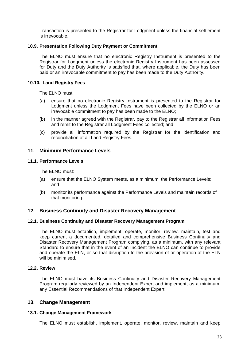Transaction is presented to the Registrar for Lodgment unless the financial settlement is irrevocable.

# **10.9. Presentation Following Duty Payment or Commitment**

The ELNO must ensure that no electronic Registry Instrument is presented to the Registrar for Lodgment unless the electronic Registry Instrument has been assessed for Duty and the Duty Authority is satisfied that, where applicable, the Duty has been paid or an irrevocable commitment to pay has been made to the Duty Authority.

## **10.10. Land Registry Fees**

The ELNO must:

- (a) ensure that no electronic Registry Instrument is presented to the Registrar for Lodgment unless the Lodgment Fees have been collected by the ELNO or an irrevocable commitment to pay has been made to the ELNO;
- (b) in the manner agreed with the Registrar, pay to the Registrar all Information Fees and remit to the Registrar all Lodgment Fees collected; and
- (c) provide all information required by the Registrar for the identification and reconciliation of all Land Registry Fees.

# **11. Minimum Performance Levels**

## **11.1. Performance Levels**

The ELNO must:

- (a) ensure that the ELNO System meets, as a minimum, the Performance Levels; and
- (b) monitor its performance against the Performance Levels and maintain records of that monitoring.

# **12. Business Continuity and Disaster Recovery Management**

## **12.1. Business Continuity and Disaster Recovery Management Program**

The ELNO must establish, implement, operate, monitor, review, maintain, test and keep current a documented, detailed and comprehensive Business Continuity and Disaster Recovery Management Program complying, as a minimum, with any relevant Standard to ensure that in the event of an Incident the ELNO can continue to provide and operate the ELN, or so that disruption to the provision of or operation of the ELN will be minimised.

# **12.2. Review**

The ELNO must have its Business Continuity and Disaster Recovery Management Program regularly reviewed by an Independent Expert and implement, as a minimum, any Essential Recommendations of that Independent Expert.

## **13. Change Management**

## **13.1. Change Management Framework**

The ELNO must establish, implement, operate, monitor, review, maintain and keep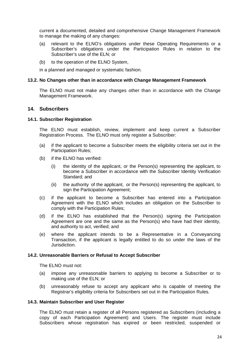current a documented, detailed and comprehensive Change Management Framework to manage the making of any changes:

- (a) relevant to the ELNO's obligations under these Operating Requirements or a Subscriber's obligations under the Participation Rules in relation to the Subscriber's use of the ELN; or
- (b) to the operation of the ELNO System,

in a planned and managed or systematic fashion.

#### **13.2. No Changes other than in accordance with Change Management Framework**

The ELNO must not make any changes other than in accordance with the Change Management Framework.

# **14. Subscribers**

#### **14.1. Subscriber Registration**

The ELNO must establish, review, implement and keep current a Subscriber Registration Process. The ELNO must only register a Subscriber:

- (a) if the applicant to become a Subscriber meets the eligibility criteria set out in the Participation Rules;
- (b) if the ELNO has verified:
	- (i) the identity of the applicant, or the Person(s) representing the applicant, to become a Subscriber in accordance with the Subscriber Identity Verification Standard; and
	- (ii) the authority of the applicant, or the Person(s) representing the applicant, to sign the Participation Agreement;
- (c) if the applicant to become a Subscriber has entered into a Participation Agreement with the ELNO which includes an obligation on the Subscriber to comply with the Participation Rules;
- (d) if the ELNO has established that the Person(s) signing the Participation Agreement are one and the same as the Person(s) who have had their identity, and authority to act, verified; and
- (e) where the applicant intends to be a Representative in a Conveyancing Transaction, if the applicant is legally entitled to do so under the laws of the Jurisdiction.

#### **14.2. Unreasonable Barriers or Refusal to Accept Subscriber**

The ELNO must not:

- (a) impose any unreasonable barriers to applying to become a Subscriber or to making use of the ELN; or
- (b) unreasonably refuse to accept any applicant who is capable of meeting the Registrar's eligibility criteria for Subscribers set out in the Participation Rules.

#### **14.3. Maintain Subscriber and User Register**

The ELNO must retain a register of all Persons registered as Subscribers (including a copy of each Participation Agreement) and Users. The register must include Subscribers whose registration has expired or been restricted, suspended or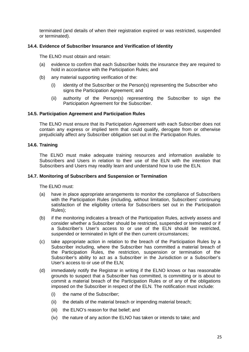terminated (and details of when their registration expired or was restricted, suspended or terminated).

# **14.4. Evidence of Subscriber Insurance and Verification of Identity**

The ELNO must obtain and retain:

- (a) evidence to confirm that each Subscriber holds the insurance they are required to hold in accordance with the Participation Rules; and
- (b) any material supporting verification of the:
	- (i) identity of the Subscriber or the Person(s) representing the Subscriber who signs the Participation Agreement; and
	- (ii) authority of the Person(s) representing the Subscriber to sign the Participation Agreement for the Subscriber.

#### **14.5. Participation Agreement and Participation Rules**

The ELNO must ensure that its Participation Agreement with each Subscriber does not contain any express or implied term that could qualify, derogate from or otherwise prejudicially affect any Subscriber obligation set out in the Participation Rules.

#### **14.6. Training**

The ELNO must make adequate training resources and information available to Subscribers and Users in relation to their use of the ELN with the intention that Subscribers and Users may readily learn and understand how to use the ELN.

#### **14.7. Monitoring of Subscribers and Suspension or Termination**

The ELNO must:

- (a) have in place appropriate arrangements to monitor the compliance of Subscribers with the Participation Rules (including, without limitation, Subscribers' continuing satisfaction of the eligibility criteria for Subscribers set out in the Participation Rules);
- (b) if the monitoring indicates a breach of the Participation Rules, actively assess and consider whether a Subscriber should be restricted, suspended or terminated or if a Subscriber's User's access to or use of the ELN should be restricted, suspended or terminated in light of the then current circumstances;
- (c) take appropriate action in relation to the breach of the Participation Rules by a Subscriber including, where the Subscriber has committed a material breach of the Participation Rules, the restriction, suspension or termination of the Subscriber's ability to act as a Subscriber in the Jurisdiction or a Subscriber's User's access to or use of the ELN;
- (d) immediately notify the Registrar in writing if the ELNO knows or has reasonable grounds to suspect that a Subscriber has committed, is committing or is about to commit a material breach of the Participation Rules or of any of the obligations imposed on the Subscriber in respect of the ELN. The notification must include:
	- (i) the name of the Subscriber;
	- (ii) the details of the material breach or impending material breach;
	- (iii) the ELNO's reason for that belief; and
	- (iv) the nature of any action the ELNO has taken or intends to take; and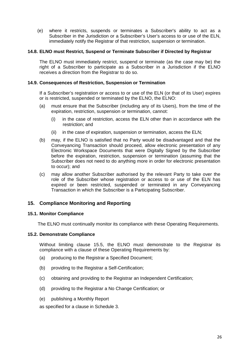(e) where it restricts, suspends or terminates a Subscriber's ability to act as a Subscriber in the Jurisdiction or a Subscriber's User's access to or use of the ELN, immediately notify the Registrar of that restriction, suspension or termination.

#### **14.8. ELNO must Restrict, Suspend or Terminate Subscriber if Directed by Registrar**

The ELNO must immediately restrict, suspend or terminate (as the case may be) the right of a Subscriber to participate as a Subscriber in a Jurisdiction if the ELNO receives a direction from the Registrar to do so.

#### **14.9. Consequences of Restriction, Suspension or Termination**

If a Subscriber's registration or access to or use of the ELN (or that of its User) expires or is restricted, suspended or terminated by the ELNO, the ELNO:

- (a) must ensure that the Subscriber (including any of its Users), from the time of the expiration, restriction, suspension or termination, cannot:
	- (i) in the case of restriction, access the ELN other than in accordance with the restriction; and
	- (ii) in the case of expiration, suspension or termination, access the ELN;
- (b) may, if the ELNO is satisfied that no Party would be disadvantaged and that the Conveyancing Transaction should proceed, allow electronic presentation of any Electronic Workspace Documents that were Digitally Signed by the Subscriber before the expiration, restriction, suspension or termination (assuming that the Subscriber does not need to do anything more in order for electronic presentation to occur); and
- (c) may allow another Subscriber authorised by the relevant Party to take over the role of the Subscriber whose registration or access to or use of the ELN has expired or been restricted, suspended or terminated in any Conveyancing Transaction in which the Subscriber is a Participating Subscriber.

## **15. Compliance Monitoring and Reporting**

## **15.1. Monitor Compliance**

The ELNO must continually monitor its compliance with these Operating Requirements.

#### **15.2. Demonstrate Compliance**

Without limiting clause 15.5, the ELNO must demonstrate to the Registrar its compliance with a clause of these Operating Requirements by:

- (a) producing to the Registrar a Specified Document;
- (b) providing to the Registrar a Self-Certification;
- (c) obtaining and providing to the Registrar an Independent Certification;
- (d) providing to the Registrar a No Change Certification; or
- (e) publishing a Monthly Report

as specified for a clause in Schedule 3.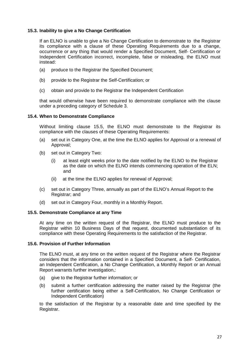# **15.3. Inability to give a No Change Certification**

If an ELNO is unable to give a No Change Certification to demonstrate to the Registrar its compliance with a clause of these Operating Requirements due to a change, occurrence or any thing that would render a Specified Document, Self- Certification or Independent Certification incorrect, incomplete, false or misleading, the ELNO must instead:

- (a) produce to the Registrar the Specified Document;
- (b) provide to the Registrar the Self-Certification; or
- (c) obtain and provide to the Registrar the Independent Certification

that would otherwise have been required to demonstrate compliance with the clause under a preceding category of Schedule 3.

#### **15.4. When to Demonstrate Compliance**

Without limiting clause 15.5, the ELNO must demonstrate to the Registrar its compliance with the clauses of these Operating Requirements:

- (a) set out in Category One, at the time the ELNO applies for Approval or a renewal of Approval;
- (b) set out in Category Two:
	- (i) at least eight weeks prior to the date notified by the ELNO to the Registrar as the date on which the ELNO intends commencing operation of the ELN; and
	- (ii) at the time the ELNO applies for renewal of Approval;
- (c) set out in Category Three, annually as part of the ELNO's Annual Report to the Registrar; and
- (d) set out in Category Four, monthly in a Monthly Report.

#### **15.5. Demonstrate Compliance at any Time**

At any time on the written request of the Registrar, the ELNO must produce to the Registrar within 10 Business Days of that request, documented substantiation of its compliance with these Operating Requirements to the satisfaction of the Registrar.

#### **15.6. Provision of Further Information**

The ELNO must, at any time on the written request of the Registrar where the Registrar considers that the information contained in a Specified Document, a Self- Certification, an Independent Certification, a No Change Certification, a Monthly Report or an Annual Report warrants further investigation,:

- (a) give to the Registrar further information; or
- (b) submit a further certification addressing the matter raised by the Registrar (the further certification being either a Self-Certification, No Change Certification or Independent Certification)

to the satisfaction of the Registrar by a reasonable date and time specified by the Registrar.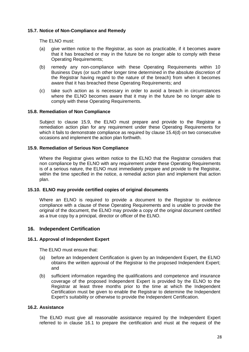# **15.7. Notice of Non-Compliance and Remedy**

The ELNO must:

- (a) give written notice to the Registrar, as soon as practicable, if it becomes aware that it has breached or may in the future be no longer able to comply with these Operating Requirements;
- (b) remedy any non-compliance with these Operating Requirements within 10 Business Days (or such other longer time determined in the absolute discretion of the Registrar having regard to the nature of the breach) from when it becomes aware that it has breached these Operating Requirements; and
- (c) take such action as is necessary in order to avoid a breach in circumstances where the ELNO becomes aware that it may in the future be no longer able to comply with these Operating Requirements.

# **15.8. Remediation of Non Compliance**

Subject to clause 15.9, the ELNO must prepare and provide to the Registrar a remediation action plan for any requirement under these Operating Requirements for which it fails to demonstrate compliance as required by clause 15.4(d) on two consecutive occasions and implement the action plan forthwith.

## **15.9. Remediation of Serious Non Compliance**

Where the Registrar gives written notice to the ELNO that the Registrar considers that non compliance by the ELNO with any requirement under these Operating Requirements is of a serious nature, the ELNO must immediately prepare and provide to the Registrar, within the time specified in the notice, a remedial action plan and implement that action plan.

# **15.10. ELNO may provide certified copies of original documents**

Where an ELNO is required to provide a document to the Registrar to evidence compliance with a clause of these Operating Requirements and is unable to provide the original of the document, the ELNO may provide a copy of the original document certified as a true copy by a principal, director or officer of the ELNO.

## **16. Independent Certification**

## **16.1. Approval of Independent Expert**

The ELNO must ensure that:

- (a) before an Independent Certification is given by an Independent Expert, the ELNO obtains the written approval of the Registrar to the proposed Independent Expert; and
- (b) sufficient information regarding the qualifications and competence and insurance coverage of the proposed Independent Expert is provided by the ELNO to the Registrar at least three months prior to the time at which the Independent Certification must be given to enable the Registrar to determine the Independent Expert's suitability or otherwise to provide the Independent Certification.

# **16.2. Assistance**

The ELNO must give all reasonable assistance required by the Independent Expert referred to in clause 16.1 to prepare the certification and must at the request of the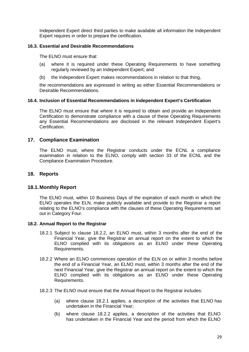Independent Expert direct third parties to make available all information the Independent Expert requires in order to prepare the certification.

## **16.3. Essential and Desirable Recommendations**

The ELNO must ensure that:

- (a) where it is required under these Operating Requirements to have something regularly reviewed by an Independent Expert; and
- (b) the Independent Expert makes recommendations in relation to that thing,

the recommendations are expressed in writing as either Essential Recommendations or Desirable Recommendations.

#### **16.4. Inclusion of Essential Recommendations in Independent Expert's Certification**

The ELNO must ensure that where it is required to obtain and provide an Independent Certification to demonstrate compliance with a clause of these Operating Requirements any Essential Recommendations are disclosed in the relevant Independent Expert's Certification.

## **17. Compliance Examination**

The ELNO must, where the Registrar conducts under the ECNL a compliance examination in relation to the ELNO, comply with section 33 of the ECNL and the Compliance Examination Procedure.

# **18. Reports**

## **18.1. Monthly Report**

The ELNO must, within 10 Business Days of the expiration of each month in which the ELNO operates the ELN, make publicly available and provide to the Registrar a report relating to the ELNO's compliance with the clauses of these Operating Requirements set out in Category Four.

#### **18.2. Annual Report to the Registrar**

- 18.2.1 Subject to clause 18.2.2, an ELNO must, within 3 months after the end of the Financial Year, give the Registrar an annual report on the extent to which the ELNO complied with its obligations as an ELNO under these Operating Requirements.
- 18.2.2 Where an ELNO commences operation of the ELN on or within 3 months before the end of a Financial Year, an ELNO must, within 3 months after the end of the next Financial Year, give the Registrar an annual report on the extent to which the ELNO complied with its obligations as an ELNO under these Operating Requirements.
- 18.2.3 The ELNO must ensure that the Annual Report to the Registrar includes:
	- (a) where clause 18.2.1 applies, a description of the activities that ELNO has undertaken in the Financial Year;
	- (b) where clause 18.2.2 applies, a description of the activities that ELNO has undertaken in the Financial Year and the period from which the ELNO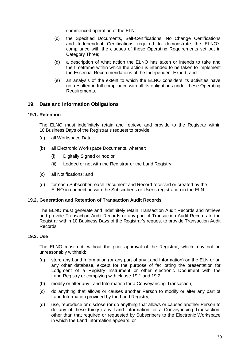commenced operation of the ELN;

- (c) the Specified Documents, Self-Certifications, No Change Certifications and Independent Certifications required to demonstrate the ELNO's compliance with the clauses of these Operating Requirements set out in Category Three;
- (d) a description of what action the ELNO has taken or intends to take and the timeframe within which the action is intended to be taken to implement the Essential Recommendations of the Independent Expert; and
- (e) an analysis of the extent to which the ELNO considers its activities have not resulted in full compliance with all its obligations under these Operating Requirements.

# **19. Data and Information Obligations**

#### **19.1. Retention**

The ELNO must indefinitely retain and retrieve and provide to the Registrar within 10 Business Days of the Registrar's request to provide:

- (a) all Workspace Data;
- (b) all Electronic Workspace Documents, whether:
	- (i) Digitally Signed or not; or
	- (ii) Lodged or not with the Registrar or the Land Registry;
- (c) all Notifications; and
- (d) for each Subscriber, each Document and Record received or created by the ELNO in connection with the Subscriber's or User's registration in the ELN.

## **19.2. Generation and Retention of Transaction Audit Records**

The ELNO must generate and indefinitely retain Transaction Audit Records and retrieve and provide Transaction Audit Records or any part of Transaction Audit Records to the Registrar within 10 Business Days of the Registrar's request to provide Transaction Audit Records.

#### **19.3. Use**

The ELNO must not, without the prior approval of the Registrar, which may not be unreasonably withheld:

- (a) store any Land Information (or any part of any Land Information) on the ELN or on any other database, except for the purpose of facilitating the presentation for Lodgment of a Registry Instrument or other electronic Document with the Land Registry or complying with clause 19.1 and 19.2;
- (b) modify or alter any Land Information for a Conveyancing Transaction;
- (c) do anything that allows or causes another Person to modify or alter any part of Land Information provided by the Land Registry;
- (d) use, reproduce or disclose (or do anything that allows or causes another Person to do any of these things) any Land Information for a Conveyancing Transaction, other than that required or requested by Subscribers to the Electronic Workspace in which the Land Information appears; or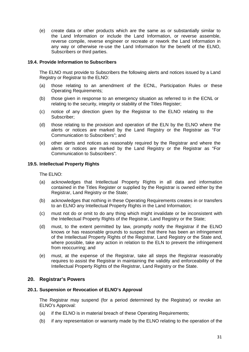(e) create data or other products which are the same as or substantially similar to the Land Information or include the Land Information, or reverse assemble, reverse compile, reverse engineer or recreate or rework the Land Information in any way or otherwise re-use the Land Information for the benefit of the ELNO, Subscribers or third parties.

# **19.4. Provide Information to Subscribers**

The ELNO must provide to Subscribers the following alerts and notices issued by a Land Registry or Registrar to the ELNO:

- (a) those relating to an amendment of the ECNL, Participation Rules or these Operating Requirements;
- (b) those given in response to an emergency situation as referred to in the ECNL or relating to the security, integrity or stability of the Titles Register;
- (c) notice of any direction given by the Registrar to the ELNO relating to the Subscriber;
- (d) those relating to the provision and operation of the ELN by the ELNO where the alerts or notices are marked by the Land Registry or the Registrar as "For Communication to Subscribers"; and
- (e) other alerts and notices as reasonably required by the Registrar and where the alerts or notices are marked by the Land Registry or the Registrar as "For Communication to Subscribers".

## **19.5. Intellectual Property Rights**

The ELNO:

- (a) acknowledges that Intellectual Property Rights in all data and information contained in the Titles Register or supplied by the Registrar is owned either by the Registrar, Land Registry or the State;
- (b) acknowledges that nothing in these Operating Requirements creates in or transfers to an ELNO any Intellectual Property Rights in the Land Information;
- (c) must not do or omit to do any thing which might invalidate or be inconsistent with the Intellectual Property Rights of the Registrar, Land Registry or the State;
- (d) must, to the extent permitted by law, promptly notify the Registrar if the ELNO knows or has reasonable grounds to suspect that there has been an infringement of the Intellectual Property Rights of the Registrar, Land Registry or the State and, where possible, take any action in relation to the ELN to prevent the infringement from reoccurring; and
- (e) must, at the expense of the Registrar, take all steps the Registrar reasonably requires to assist the Registrar in maintaining the validity and enforceability of the Intellectual Property Rights of the Registrar, Land Registry or the State.

## **20. Registrar's Powers**

## **20.1. Suspension or Revocation of ELNO's Approval**

The Registrar may suspend (for a period determined by the Registrar) or revoke an ELNO's Approval:

- (a) if the ELNO is in material breach of these Operating Requirements;
- (b) if any representation or warranty made by the ELNO relating to the operation of the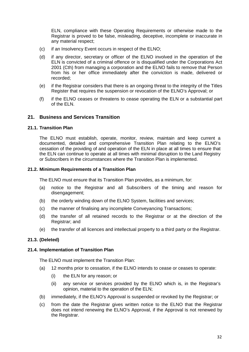ELN, compliance with these Operating Requirements or otherwise made to the Registrar is proved to be false, misleading, deceptive, incomplete or inaccurate in any material respect;

- (c) if an Insolvency Event occurs in respect of the ELNO;
- (d) if any director, secretary or officer of the ELNO involved in the operation of the ELN is convicted of a criminal offence or is disqualified under the Corporations Act 2001 (Cth) from managing a corporation and the ELNO fails to remove that Person from his or her office immediately after the conviction is made, delivered or recorded;
- (e) if the Registrar considers that there is an ongoing threat to the integrity of the Titles Register that requires the suspension or revocation of the ELNO's Approval; or
- (f) if the ELNO ceases or threatens to cease operating the ELN or a substantial part of the ELN.

# **21. Business and Services Transition**

#### **21.1. Transition Plan**

The ELNO must establish, operate, monitor, review, maintain and keep current a documented, detailed and comprehensive Transition Plan relating to the ELNO's cessation of the providing of and operation of the ELN in place at all times to ensure that the ELN can continue to operate at all times with minimal disruption to the Land Registry or Subscribers in the circumstances where the Transition Plan is implemented.

#### **21.2. Minimum Requirements of a Transition Plan**

The ELNO must ensure that its Transition Plan provides, as a minimum, for:

- (a) notice to the Registrar and all Subscribers of the timing and reason for disengagement;
- (b) the orderly winding down of the ELNO System, facilities and services;
- (c) the manner of finalising any incomplete Conveyancing Transactions;
- (d) the transfer of all retained records to the Registrar or at the direction of the Registrar; and
- (e) the transfer of all licences and intellectual property to a third party or the Registrar.

## **21.3. (Deleted)**

#### **21.4. Implementation of Transition Plan**

The ELNO must implement the Transition Plan:

- (a) 12 months prior to cessation, if the ELNO intends to cease or ceases to operate:
	- (i) the ELN for any reason; or
	- (ii) any service or services provided by the ELNO which is, in the Registrar's opinion, material to the operation of the ELN;
- (b) immediately, if the ELNO's Approval is suspended or revoked by the Registrar; or
- (c) from the date the Registrar gives written notice to the ELNO that the Registrar does not intend renewing the ELNO's Approval, if the Approval is not renewed by the Registrar.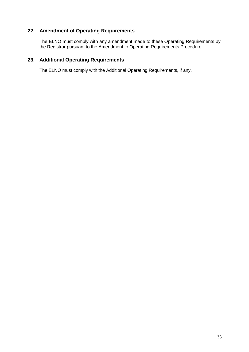# **22. Amendment of Operating Requirements**

The ELNO must comply with any amendment made to these Operating Requirements by the Registrar pursuant to the Amendment to Operating Requirements Procedure.

# **23. Additional Operating Requirements**

The ELNO must comply with the Additional Operating Requirements, if any.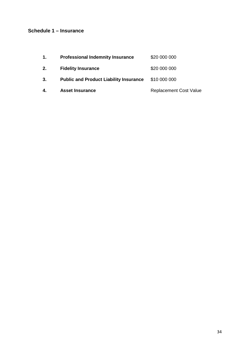# **Schedule 1 – Insurance**

| $\mathbf{1}$ . | <b>Professional Indemnity Insurance</b>       | \$20 000 000                  |
|----------------|-----------------------------------------------|-------------------------------|
| 2.             | <b>Fidelity Insurance</b>                     | \$20 000 000                  |
| 3.             | <b>Public and Product Liability Insurance</b> | \$10 000 000                  |
| 4.             | <b>Asset Insurance</b>                        | <b>Replacement Cost Value</b> |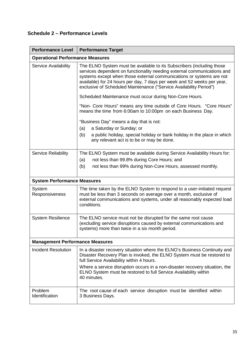# **Schedule 2 – Performance Levels**

| <b>Performance Level</b>                | <b>Performance Target</b>                                                                                                                                                                                                                                                                                                                                                 |  |  |  |  |
|-----------------------------------------|---------------------------------------------------------------------------------------------------------------------------------------------------------------------------------------------------------------------------------------------------------------------------------------------------------------------------------------------------------------------------|--|--|--|--|
| <b>Operational Performance Measures</b> |                                                                                                                                                                                                                                                                                                                                                                           |  |  |  |  |
| <b>Service Availability</b>             | The ELNO System must be available to its Subscribers (including those<br>services dependent on functionality needing external communications and<br>systems except when those external communications or systems are not<br>available) for 24 hours per day, 7 days per week and 52 weeks per year,<br>exclusive of Scheduled Maintenance ("Service Availability Period") |  |  |  |  |
|                                         | Scheduled Maintenance must occur during Non-Core Hours.                                                                                                                                                                                                                                                                                                                   |  |  |  |  |
|                                         | "Non- Core Hours" means any time outside of Core Hours. "Core Hours"<br>means the time from 6:00am to 10:00pm on each Business Day.                                                                                                                                                                                                                                       |  |  |  |  |
|                                         | "Business Day" means a day that is not:                                                                                                                                                                                                                                                                                                                                   |  |  |  |  |
|                                         | a Saturday or Sunday; or<br>(a)                                                                                                                                                                                                                                                                                                                                           |  |  |  |  |
|                                         | (b)<br>a public holiday, special holiday or bank holiday in the place in which<br>any relevant act is to be or may be done.                                                                                                                                                                                                                                               |  |  |  |  |
| <b>Service Reliability</b>              | The ELNO System must be available during Service Availability Hours for:                                                                                                                                                                                                                                                                                                  |  |  |  |  |
|                                         | not less than 99.8% during Core Hours; and<br>(a)                                                                                                                                                                                                                                                                                                                         |  |  |  |  |
|                                         | (b)<br>not less than 99% during Non-Core Hours, assessed monthly.                                                                                                                                                                                                                                                                                                         |  |  |  |  |
| <b>System Performance Measures</b>      |                                                                                                                                                                                                                                                                                                                                                                           |  |  |  |  |
| System<br>Responsiveness                | The time taken by the ELNO System to respond to a user-initiated request<br>must be less than 3 seconds on average over a month, exclusive of<br>external communications and systems, under all reasonably expected load<br>conditions.                                                                                                                                   |  |  |  |  |
| <b>System Resilience</b>                | The ELNO service must not be disrupted for the same root cause<br>(excluding service disruptions caused by external communications and<br>systems) more than twice in a six month period.                                                                                                                                                                                 |  |  |  |  |
| <b>Management Performance Measures</b>  |                                                                                                                                                                                                                                                                                                                                                                           |  |  |  |  |
| <b>Incident Resolution</b>              | In a disaster recovery situation where the ELNO's Business Continuity and<br>Disaster Recovery Plan is invoked, the ELNO System must be restored to<br>full Service Availability within 4 hours.                                                                                                                                                                          |  |  |  |  |
|                                         | Where a service disruption occurs in a non-disaster recovery situation, the<br>ELNO System must be restored to full Service Availability within<br>40 minutes.                                                                                                                                                                                                            |  |  |  |  |
| Problem<br>Identification               | The root cause of each service disruption must be identified within<br>3 Business Days.                                                                                                                                                                                                                                                                                   |  |  |  |  |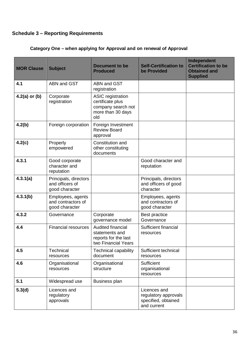# **Schedule 3 – Reporting Requirements**

# **Category One – when applying for Approval and on renewal of Approval**

| <b>MOR Clause</b> | <b>Subject</b>                                             | <b>Document to be</b><br><b>Produced</b>                                                       | <b>Self-Certification to</b><br>be Provided                                | Independent<br><b>Certification to be</b><br><b>Obtained and</b><br><b>Supplied</b> |
|-------------------|------------------------------------------------------------|------------------------------------------------------------------------------------------------|----------------------------------------------------------------------------|-------------------------------------------------------------------------------------|
| 4.1               | <b>ABN and GST</b>                                         | <b>ABN and GST</b><br>registration                                                             |                                                                            |                                                                                     |
| $4.2(a)$ or (b)   | Corporate<br>registration                                  | <b>ASIC</b> registration<br>certificate plus<br>company search not<br>more than 30 days<br>old |                                                                            |                                                                                     |
| 4.2(b)            | Foreign corporation                                        | Foreign Investment<br><b>Review Board</b><br>approval                                          |                                                                            |                                                                                     |
| 4.2(c)            | Properly<br>empowered                                      | Constitution and<br>other constituting<br>documents                                            |                                                                            |                                                                                     |
| 4.3.1             | Good corporate<br>character and<br>reputation              |                                                                                                | Good character and<br>reputation                                           |                                                                                     |
| 4.3.1(a)          | Principals, directors<br>and officers of<br>good character |                                                                                                | Principals, directors<br>and officers of good<br>character                 |                                                                                     |
| 4.3.1(b)          | Employees, agents<br>and contractors of<br>good character  |                                                                                                | Employees, agents<br>and contractors of<br>good character                  |                                                                                     |
| 4.3.2             | Governance                                                 | Corporate<br>governance model                                                                  | <b>Best practice</b><br>Governance                                         |                                                                                     |
| 4.4               | <b>Financial resources</b>                                 | Audited financial<br>statements and<br>reports for the last<br>two Financial Years             | Sufficient financial<br>resources                                          |                                                                                     |
| 4.5               | Technical<br>resources                                     | <b>Technical capability</b><br>document                                                        | Sufficient technical<br>resources                                          |                                                                                     |
| 4.6               | Organisational<br>resources                                | Organisational<br>structure                                                                    | Sufficient<br>organisational<br>resources                                  |                                                                                     |
| 5.1               | Widespread use                                             | <b>Business plan</b>                                                                           |                                                                            |                                                                                     |
| 5.3(d)            | Licences and<br>regulatory<br>approvals                    |                                                                                                | Licences and<br>regulatory approvals<br>specified, obtained<br>and current |                                                                                     |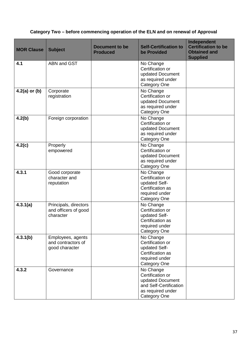# **Category Two – before commencing operation of the ELN and on renewal of Approval**

| <b>MOR Clause</b> | <b>Subject</b>                                             | <b>Document to be</b><br><b>Produced</b> | <b>Self-Certification to</b><br>be Provided                                                                             | Independent<br><b>Certification to be</b><br><b>Obtained and</b><br><b>Supplied</b> |
|-------------------|------------------------------------------------------------|------------------------------------------|-------------------------------------------------------------------------------------------------------------------------|-------------------------------------------------------------------------------------|
| 4.1               | <b>ABN and GST</b>                                         |                                          | No Change<br>Certification or<br>updated Document<br>as required under<br><b>Category One</b>                           |                                                                                     |
| $4.2(a)$ or (b)   | Corporate<br>registration                                  |                                          | No Change<br>Certification or<br>updated Document<br>as required under<br><b>Category One</b>                           |                                                                                     |
| 4.2(b)            | Foreign corporation                                        |                                          | No Change<br>Certification or<br>updated Document<br>as required under<br>Category One                                  |                                                                                     |
| 4.2(c)            | Properly<br>empowered                                      |                                          | No Change<br>Certification or<br>updated Document<br>as required under<br><b>Category One</b>                           |                                                                                     |
| 4.3.1             | Good corporate<br>character and<br>reputation              |                                          | No Change<br>Certification or<br>updated Self-<br>Certification as<br>required under<br><b>Category One</b>             |                                                                                     |
| 4.3.1(a)          | Principals, directors<br>and officers of good<br>character |                                          | No Change<br>Certification or<br>updated Self-<br>Certification as<br>required under<br><b>Category One</b>             |                                                                                     |
| 4.3.1(b)          | Employees, agents<br>and contractors of<br>good character  |                                          | No Change<br>Certification or<br>updated Self-<br>Certification as<br>required under<br><b>Category One</b>             |                                                                                     |
| 4.3.2             | Governance                                                 |                                          | No Change<br>Certification or<br>updated Document<br>and Self-Certification<br>as required under<br><b>Category One</b> |                                                                                     |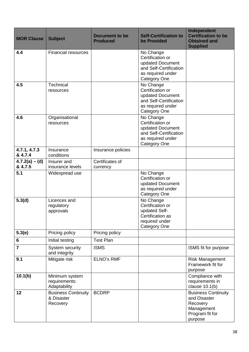| <b>MOR Clause</b>           | <b>Subject</b>                                       | <b>Document to be</b><br><b>Produced</b> | <b>Self-Certification to</b><br>be Provided                                                                             | Independent<br><b>Certification to be</b><br><b>Obtained and</b><br><b>Supplied</b>                |
|-----------------------------|------------------------------------------------------|------------------------------------------|-------------------------------------------------------------------------------------------------------------------------|----------------------------------------------------------------------------------------------------|
| 4.4                         | <b>Financial resources</b>                           |                                          | No Change<br>Certification or<br>updated Document<br>and Self-Certification<br>as required under<br><b>Category One</b> |                                                                                                    |
| 4.5                         | Technical<br>resources                               |                                          | No Change<br>Certification or<br>updated Document<br>and Self-Certification<br>as required under<br><b>Category One</b> |                                                                                                    |
| 4.6                         | Organisational<br>resources                          |                                          | No Change<br>Certification or<br>updated Document<br>and Self-Certification<br>as required under<br><b>Category One</b> |                                                                                                    |
| 4.7.1, 4.7.3<br>& 4.7.4     | Insurance<br>conditions                              | Insurance policies                       |                                                                                                                         |                                                                                                    |
| $4.7.2(a) - (d)$<br>& 4.7.5 | Insurer and<br>insurance levels                      | Certificates of<br>currency              |                                                                                                                         |                                                                                                    |
| 5.1                         | Widespread use                                       |                                          | No Change<br>Certification or<br>updated Document<br>as required under<br><b>Category One</b>                           |                                                                                                    |
| 5.3(d)                      | Licences and<br>regulatory<br>approvals              |                                          | No Change<br>Certification or<br>updated Self-<br>Certification as<br>required under<br><b>Category One</b>             |                                                                                                    |
| 5.3(e)                      | Pricing policy                                       | Pricing policy                           |                                                                                                                         |                                                                                                    |
| 6                           | Initial testing                                      | <b>Test Plan</b>                         |                                                                                                                         |                                                                                                    |
| $\overline{7}$              | System security<br>and integrity                     | <b>ISMS</b>                              |                                                                                                                         | ISMS fit for purpose                                                                               |
| 9.1                         | Mitigate risk                                        | <b>ELNO's RMF</b>                        |                                                                                                                         | <b>Risk Management</b><br>Framework fit for<br>purpose                                             |
| 10.1(b)                     | Minimum system<br>requirements:<br>Adaptability      |                                          |                                                                                                                         | Compliance with<br>requirements in<br>clause $10.1(b)$                                             |
| 12                          | <b>Business Continuity</b><br>& Disaster<br>Recovery | <b>BCDRP</b>                             |                                                                                                                         | <b>Business Continuity</b><br>and Disaster<br>Recovery<br>Management<br>Program fit for<br>purpose |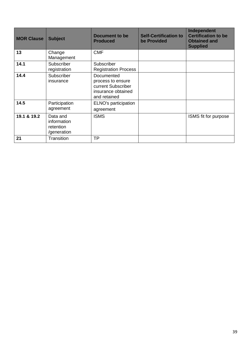| <b>MOR Clause</b> | <b>Subject</b>                                      | <b>Document to be</b><br><b>Produced</b>                                                    | <b>Self-Certification to</b><br>be Provided | Independent<br><b>Certification to be</b><br><b>Obtained and</b><br><b>Supplied</b> |
|-------------------|-----------------------------------------------------|---------------------------------------------------------------------------------------------|---------------------------------------------|-------------------------------------------------------------------------------------|
| 13                | Change<br>Management                                | <b>CMF</b>                                                                                  |                                             |                                                                                     |
| 14.1              | Subscriber<br>registration                          | Subscriber<br><b>Registration Process</b>                                                   |                                             |                                                                                     |
| 14.4              | Subscriber<br>insurance                             | Documented<br>process to ensure<br>current Subscriber<br>insurance obtained<br>and retained |                                             |                                                                                     |
| 14.5              | Participation<br>agreement                          | ELNO's participation<br>agreement                                                           |                                             |                                                                                     |
| 19.1 & 19.2       | Data and<br>information<br>retention<br>/generation | <b>ISMS</b>                                                                                 |                                             | ISMS fit for purpose                                                                |
| 21                | Transition                                          | <b>TP</b>                                                                                   |                                             |                                                                                     |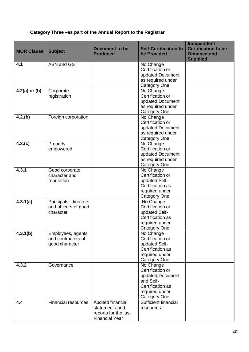# **Category Three –as part of the Annual Report to the Registrar**

| <b>MOR Clause</b> | <b>Subject</b>                                             | <b>Document to be</b><br><b>Produced</b>                                             | <b>Self-Certification to</b><br>be Provided                                                                                 | Independent<br><b>Certification to be</b><br><b>Obtained and</b><br><b>Supplied</b> |
|-------------------|------------------------------------------------------------|--------------------------------------------------------------------------------------|-----------------------------------------------------------------------------------------------------------------------------|-------------------------------------------------------------------------------------|
| 4.1               | ABN and GST                                                |                                                                                      | No Change<br>Certification or<br>updated Document<br>as required under                                                      |                                                                                     |
| $4.2(a)$ or (b)   | Corporate<br>registration                                  |                                                                                      | <b>Category One</b><br>No Change<br>Certification or<br>updated Document<br>as required under<br><b>Category One</b>        |                                                                                     |
| 4.2(b)            | Foreign corporation                                        |                                                                                      | No Change<br>Certification or<br>updated Document<br>as required under<br><b>Category One</b>                               |                                                                                     |
| 4.2(c)            | Properly<br>empowered                                      |                                                                                      | No Change<br>Certification or<br>updated Document<br>as required under<br><b>Category One</b>                               |                                                                                     |
| 4.3.1             | Good corporate<br>character and<br>reputation              |                                                                                      | No Change<br>Certification or<br>updated Self-<br>Certification as<br>required under<br><b>Category One</b>                 |                                                                                     |
| 4.3.1(a)          | Principals, directors<br>and officers of good<br>character |                                                                                      | No Change<br>Certification or<br>updated Self-<br>Certification as<br>required under<br>Category One                        |                                                                                     |
| 4.3.1(b)          | Employees, agents<br>and contractors of<br>good character  |                                                                                      | No Change<br>Certification or<br>updated Self-<br>Certification as<br>required under<br><b>Category One</b>                 |                                                                                     |
| 4.3.2             | Governance                                                 |                                                                                      | No Change<br>Certification or<br>updated Document<br>and Self-<br>Certification as<br>required under<br><b>Category One</b> |                                                                                     |
| 4.4               | <b>Financial resources</b>                                 | Audited financial<br>statements and<br>reports for the last<br><b>Financial Year</b> | Sufficient financial<br>resources                                                                                           |                                                                                     |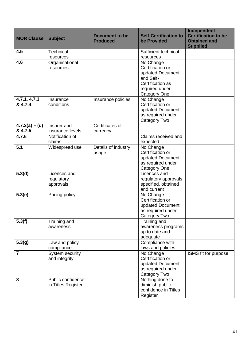| <b>MOR Clause</b>           | <b>Subject</b>                          | <b>Document to be</b><br><b>Produced</b> | <b>Self-Certification to</b><br>be Provided                                                                                 | Independent<br><b>Certification to be</b><br><b>Obtained and</b><br><b>Supplied</b> |
|-----------------------------|-----------------------------------------|------------------------------------------|-----------------------------------------------------------------------------------------------------------------------------|-------------------------------------------------------------------------------------|
| 4.5                         | Technical<br>resources                  |                                          | Sufficient technical<br>resources                                                                                           |                                                                                     |
| 4.6                         | Organisational<br>resources             |                                          | No Change<br>Certification or<br>updated Document<br>and Self-<br>Certification as<br>required under<br><b>Category One</b> |                                                                                     |
| 4.7.1, 4.7.3<br>& 4.7.4     | Insurance<br>conditions                 | Insurance policies                       | No Change<br>Certification or<br>updated Document<br>as required under<br>Category Two                                      |                                                                                     |
| $4.7.2(a) - (d)$<br>& 4.7.5 | Insurer and<br>insurance levels         | Certificates of<br>currency              |                                                                                                                             |                                                                                     |
| 4.7.6                       | Notification of<br>claims               |                                          | Claims received and<br>expected                                                                                             |                                                                                     |
| 5.1                         | Widespread use                          | Details of industry<br>usage             | No Change<br>Certification or<br>updated Document<br>as required under<br><b>Category One</b>                               |                                                                                     |
| 5.3(d)                      | Licences and<br>regulatory<br>approvals |                                          | Licences and<br>regulatory approvals<br>specified, obtained<br>and current                                                  |                                                                                     |
| 5.3(e)                      | Pricing policy                          |                                          | No Change<br>Certification or<br>updated Document<br>as required under<br>Category Two                                      |                                                                                     |
| 5.3(f)                      | Training and<br>awareness               |                                          | Training and<br>awareness programs<br>up to date and<br>adequate                                                            |                                                                                     |
| 5.3(g)                      | Law and policy<br>compliance            |                                          | Compliance with<br>laws and policies                                                                                        |                                                                                     |
| $\overline{7}$              | System security<br>and integrity        |                                          | No Change<br>Certification or<br>updated Document<br>as required under<br>Category Two                                      | <b>ISMS</b> fit for purpose                                                         |
| 8                           | Public confidence<br>in Titles Register |                                          | Nothing done to<br>diminish public<br>confidence in Titles<br>Register                                                      |                                                                                     |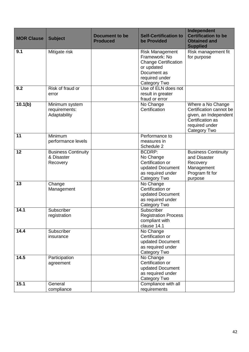| <b>MOR Clause</b> | <b>Subject</b>                                       | <b>Document to be</b><br><b>Produced</b> | <b>Self-Certification to</b><br>be Provided                                                                                           | Independent<br><b>Certification to be</b><br><b>Obtained and</b><br><b>Supplied</b>                                         |
|-------------------|------------------------------------------------------|------------------------------------------|---------------------------------------------------------------------------------------------------------------------------------------|-----------------------------------------------------------------------------------------------------------------------------|
| 9.1               | Mitigate risk                                        |                                          | <b>Risk Management</b><br>Framework: No<br><b>Change Certification</b><br>or updated<br>Document as<br>required under<br>Category Two | Risk management fit<br>for purpose                                                                                          |
| 9.2               | Risk of fraud or<br>error                            |                                          | Use of ELN does not<br>result in greater<br>fraud or error                                                                            |                                                                                                                             |
| 10.1(b)           | Minimum system<br>requirements:<br>Adaptability      |                                          | No Change<br>Certification                                                                                                            | Where a No Change<br>Certification cannot be<br>given, an Independent<br>Certification as<br>required under<br>Category Two |
| 11                | Minimum<br>performance levels                        |                                          | Performance to<br>measures in<br>Schedule 2                                                                                           |                                                                                                                             |
| 12                | <b>Business Continuity</b><br>& Disaster<br>Recovery |                                          | <b>BCDRP:</b><br>No Change<br>Certification or<br>updated Document<br>as required under<br>Category Two                               | <b>Business Continuity</b><br>and Disaster<br>Recovery<br>Management<br>Program fit for<br>purpose                          |
| 13                | Change<br>Management                                 |                                          | No Change<br>Certification or<br>updated Document<br>as required under<br>Category Two                                                |                                                                                                                             |
| 14.1              | Subscriber<br>registration                           |                                          | Subscriber<br><b>Registration Process</b><br>compliant with<br>clause 14.1                                                            |                                                                                                                             |
| 14.4              | Subscriber<br>insurance                              |                                          | No Change<br>Certification or<br>updated Document<br>as required under<br>Category Two                                                |                                                                                                                             |
| 14.5              | Participation<br>agreement                           |                                          | No Change<br>Certification or<br>updated Document<br>as required under<br>Category Two                                                |                                                                                                                             |
| 15.1              | General<br>compliance                                |                                          | Compliance with all<br>requirements                                                                                                   |                                                                                                                             |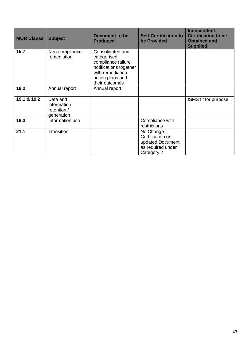| <b>MOR Clause</b> | <b>Subject</b>                                       | <b>Document to be</b><br><b>Produced</b>                                                                                                  | <b>Self-Certification to</b><br>be Provided                                          | Independent<br><b>Certification to be</b><br><b>Obtained and</b><br><b>Supplied</b> |
|-------------------|------------------------------------------------------|-------------------------------------------------------------------------------------------------------------------------------------------|--------------------------------------------------------------------------------------|-------------------------------------------------------------------------------------|
| 15.7              | Non-compliance<br>remediation                        | Consolidated and<br>categorised<br>compliance failure<br>notifications together<br>with remediation<br>action plans and<br>their outcomes |                                                                                      |                                                                                     |
| 18.2              | Annual report                                        | Annual report                                                                                                                             |                                                                                      |                                                                                     |
| 19.1 & 19.2       | Data and<br>information<br>retention /<br>generation |                                                                                                                                           |                                                                                      | ISMS fit for purpose                                                                |
| 19.3              | Information use                                      |                                                                                                                                           | Compliance with<br>restrictions                                                      |                                                                                     |
| 21.1              | Transition                                           |                                                                                                                                           | No Change<br>Certification or<br>updated Document<br>as required under<br>Category 2 |                                                                                     |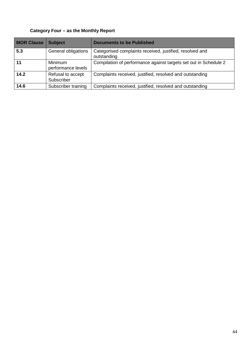# **Category Four – as the Monthly Report**

| <b>MOR Clause</b> | <b>Subject</b>                  | <b>Documents to be Published</b>                                        |
|-------------------|---------------------------------|-------------------------------------------------------------------------|
| 5.3               | General obligations             | Categorised complaints received, justified, resolved and<br>outstanding |
|                   | Minimum<br>performance levels   | Compilation of performance against targets set out in Schedule 2        |
| 14.2              | Refusal to accept<br>Subscriber | Complaints received, justified, resolved and outstanding                |
| 14.6              | Subscriber training             | Complaints received, justified, resolved and outstanding                |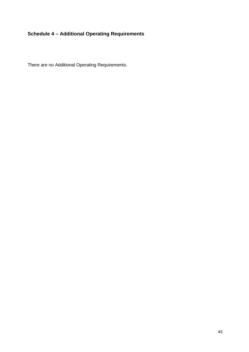# **Schedule 4 – Additional Operating Requirements**

There are no Additional Operating Requirements.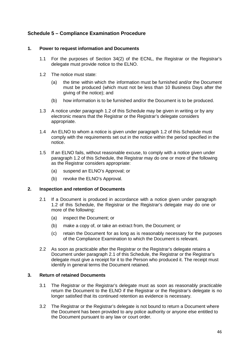# **Schedule 5 – Compliance Examination Procedure**

#### **1. Power to request information and Documents**

- 1.1 For the purposes of Section 34(2) of the ECNL, the Registrar or the Registrar's delegate must provide notice to the ELNO.
- 1.2 The notice must state:
	- (a) the time within which the information must be furnished and/or the Document must be produced (which must not be less than 10 Business Days after the giving of the notice); and
	- (b) how information is to be furnished and/or the Document is to be produced.
- 1.3 A notice under paragraph 1.2 of this Schedule may be given in writing or by any electronic means that the Registrar or the Registrar's delegate considers appropriate.
- 1.4 An ELNO to whom a notice is given under paragraph 1.2 of this Schedule must comply with the requirements set out in the notice within the period specified in the notice.
- 1.5 If an ELNO fails, without reasonable excuse, to comply with a notice given under paragraph 1.2 of this Schedule, the Registrar may do one or more of the following as the Registrar considers appropriate:
	- (a) suspend an ELNO's Approval; or
	- (b) revoke the ELNO's Approval.

#### **2. Inspection and retention of Documents**

- 2.1 If a Document is produced in accordance with a notice given under paragraph 1.2 of this Schedule, the Registrar or the Registrar's delegate may do one or more of the following:
	- (a) inspect the Document; or
	- (b) make a copy of, or take an extract from, the Document; or
	- (c) retain the Document for as long as is reasonably necessary for the purposes of the Compliance Examination to which the Document is relevant.
- 2.2 As soon as practicable after the Registrar or the Registrar's delegate retains a Document under paragraph 2.1 of this Schedule, the Registrar or the Registrar's delegate must give a receipt for it to the Person who produced it. The receipt must identify in general terms the Document retained.

# **3. Return of retained Documents**

- 3.1 The Registrar or the Registrar's delegate must as soon as reasonably practicable return the Document to the ELNO if the Registrar or the Registrar's delegate is no longer satisfied that its continued retention as evidence is necessary.
- 3.2 The Registrar or the Registrar's delegate is not bound to return a Document where the Document has been provided to any police authority or anyone else entitled to the Document pursuant to any law or court order.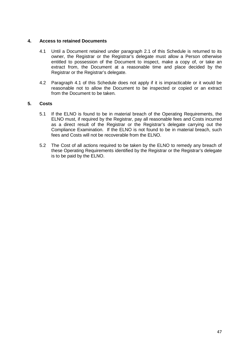## **4. Access to retained Documents**

- 4.1 Until a Document retained under paragraph 2.1 of this Schedule is returned to its owner, the Registrar or the Registrar's delegate must allow a Person otherwise entitled to possession of the Document to inspect, make a copy of, or take an extract from, the Document at a reasonable time and place decided by the Registrar or the Registrar's delegate.
- 4.2 Paragraph 4.1 of this Schedule does not apply if it is impracticable or it would be reasonable not to allow the Document to be inspected or copied or an extract from the Document to be taken.

# **5. Costs**

- 5.1 If the ELNO is found to be in material breach of the Operating Requirements, the ELNO must, if required by the Registrar, pay all reasonable fees and Costs incurred as a direct result of the Registrar or the Registrar's delegate carrying out the Compliance Examination. If the ELNO is not found to be in material breach, such fees and Costs will not be recoverable from the ELNO.
- 5.2 The Cost of all actions required to be taken by the ELNO to remedy any breach of these Operating Requirements identified by the Registrar or the Registrar's delegate is to be paid by the ELNO.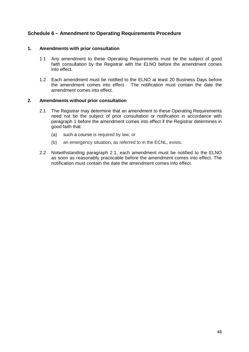# **Schedule 6 – Amendment to Operating Requirements Procedure**

## **1. Amendments with prior consultation**

- 1.1 Any amendment to these Operating Requirements must be the subject of good faith consultation by the Registrar with the ELNO before the amendment comes into effect.
- 1.2 Each amendment must be notified to the ELNO at least 20 Business Days before the amendment comes into effect. The notification must contain the date the amendment comes into effect.

#### **2. Amendments without prior consultation**

- 2.1 The Registrar may determine that an amendment to these Operating Requirements need not be the subject of prior consultation or notification in accordance with paragraph 1 before the amendment comes into effect if the Registrar determines in good faith that:
	- (a) such a course is required by law; or
	- (b) an emergency situation, as referred to in the ECNL, exists.
- 2.2 Notwithstanding paragraph 2.1, each amendment must be notified to the ELNO as soon as reasonably practicable before the amendment comes into effect. The notification must contain the date the amendment comes into effect.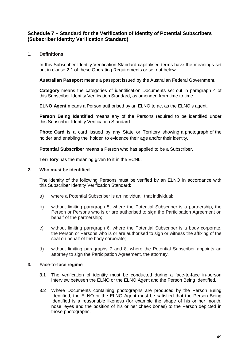# **Schedule 7 – Standard for the Verification of Identity of Potential Subscribers (Subscriber Identity Verification Standard)**

# **1. Definitions**

In this Subscriber Identity Verification Standard capitalised terms have the meanings set out in clause 2.1 of these Operating Requirements or set out below:

**Australian Passport** means a passport issued by the Australian Federal Government.

**Category** means the categories of identification Documents set out in paragraph 4 of this Subscriber Identity Verification Standard, as amended from time to time.

**ELNO Agent** means a Person authorised by an ELNO to act as the ELNO's agent.

**Person Being Identified** means any of the Persons required to be identified under this Subscriber Identity Verification Standard.

**Photo Card** is a card issued by any State or Territory showing a photograph of the holder and enabling the holder to evidence their age and/or their identity.

**Potential Subscriber** means a Person who has applied to be a Subscriber.

**Territory** has the meaning given to it in the ECNL.

#### **2. Who must be identified**

The identity of the following Persons must be verified by an ELNO in accordance with this Subscriber Identity Verification Standard:

- a) where a Potential Subscriber is an individual, that individual;
- b) without limiting paragraph 5, where the Potential Subscriber is a partnership, the Person or Persons who is or are authorised to sign the Participation Agreement on behalf of the partnership;
- c) without limiting paragraph 6, where the Potential Subscriber is a body corporate, the Person or Persons who is or are authorised to sign or witness the affixing of the seal on behalf of the body corporate;
- d) without limiting paragraphs 7 and 8, where the Potential Subscriber appoints an attorney to sign the Participation Agreement, the attorney.

## **3. Face-to-face regime**

- 3.1 The verification of identity must be conducted during a face-to-face in-person interview between the ELNO or the ELNO Agent and the Person Being Identified.
- 3.2 Where Documents containing photographs are produced by the Person Being Identified, the ELNO or the ELNO Agent must be satisfied that the Person Being Identified is a reasonable likeness (for example the shape of his or her mouth, nose, eyes and the position of his or her cheek bones) to the Person depicted in those photographs.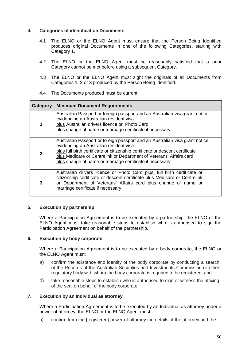## **4. Categories of identification Documents**

- 4.1 The ELNO or the ELNO Agent must ensure that the Person Being Identified produces original Documents in one of the following Categories, starting with Category 1.
- 4.2 The ELNO or the ELNO Agent must be reasonably satisfied that a prior Category cannot be met before using a subsequent Category.
- 4.3 The ELNO or the ELNO Agent must sight the originals of all Documents from Categories 1, 2 or 3 produced by the Person Being Identified.
- 4.4 The Documents produced must be current.

| Category       | <b>Minimum Document Requirements</b>                                                                                                                                                                                                                                                                                                      |  |  |  |
|----------------|-------------------------------------------------------------------------------------------------------------------------------------------------------------------------------------------------------------------------------------------------------------------------------------------------------------------------------------------|--|--|--|
| 1              | Australian Passport or foreign passport and an Australian visa grant notice<br>evidencing an Australian resident visa<br>plus Australian drivers licence or Photo Card<br>plus change of name or marriage certificate if necessary                                                                                                        |  |  |  |
| $\overline{2}$ | Australian Passport or foreign passport and an Australian visa grant notice<br>evidencing an Australian resident visa<br>plus full birth certificate or citizenship certificate or descent certificate<br>plus Medicare or Centrelink or Department of Veterans' Affairs card<br>plus change of name or marriage certificate if necessary |  |  |  |
| 3              | Australian drivers licence or Photo Card plus full birth certificate or<br>citizenship certificate or descent certificate plus Medicare or Centrelink<br>or Department of Veterans' Affairs card plus change of name or<br>marriage certificate if necessary                                                                              |  |  |  |

## **5. Execution by partnership**

Where a Participation Agreement is to be executed by a partnership, the ELNO or the ELNO Agent must take reasonable steps to establish who is authorised to sign the Participation Agreement on behalf of the partnership.

## **6. Execution by body corporate**

Where a Participation Agreement is to be executed by a body corporate, the ELNO or the ELNO Agent must:

- a) confirm the existence and identity of the body corporate by conducting a search of the Records of the Australian Securities and Investments Commission or other regulatory body with whom the body corporate is required to be registered; and
- b) take reasonable steps to establish who is authorised to sign or witness the affixing of the seal on behalf of the body corporate

## **7. Execution by an Individual as attorney**

Where a Participation Agreement is to be executed by an Individual as attorney under a power of attorney, the ELNO or the ELNO Agent must:

a) confirm from the [registered] power of attorney the details of the attorney and the